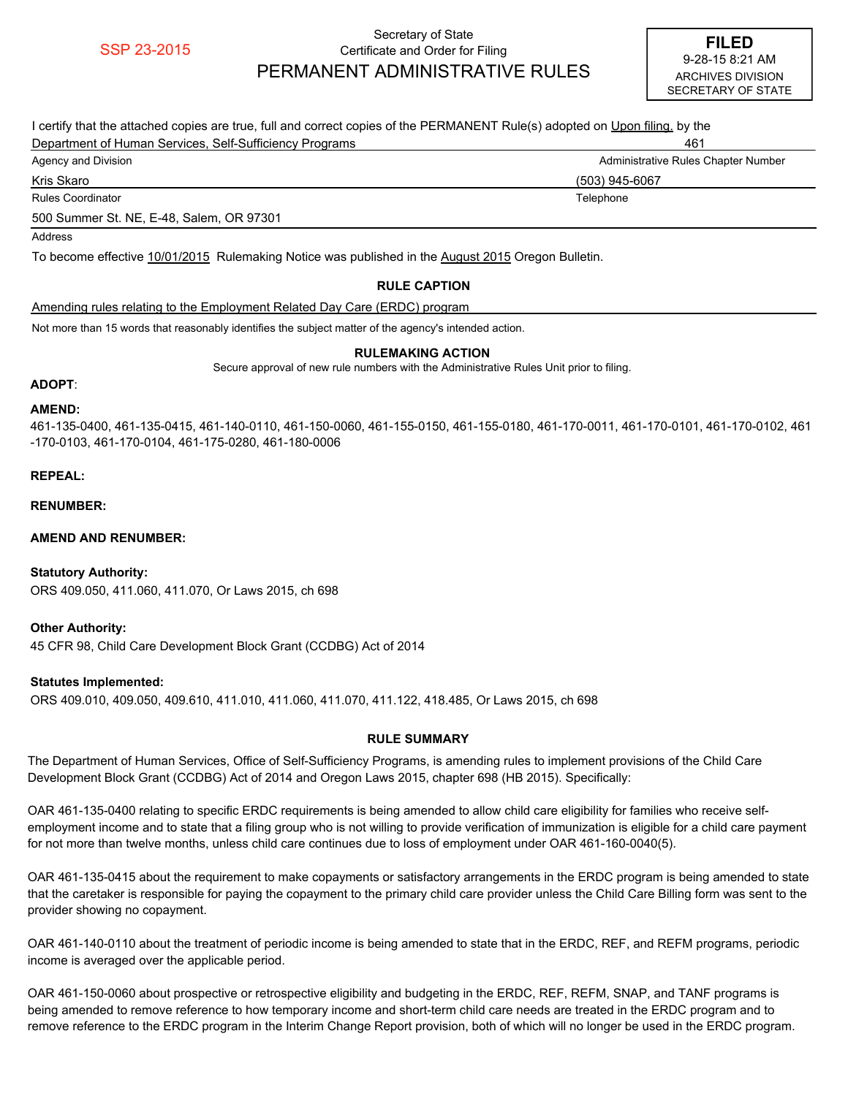## Secretary of State SSP 23-2015<br>9-28-15 8:21 AM SERN (1) CERTIFY A RAILLY CHECK AND THE RESERVED TO THE RESERVED OF RESERVED THE RED PERMANENT ADMINISTRATIVE RULES

| I certify that the attached copies are true, full and correct copies of the PERMANENT Rule(s) adopted on Upon filing, by the |                                     |  |  |  |  |  |  |
|------------------------------------------------------------------------------------------------------------------------------|-------------------------------------|--|--|--|--|--|--|
| Department of Human Services, Self-Sufficiency Programs                                                                      | 461                                 |  |  |  |  |  |  |
| Agency and Division                                                                                                          | Administrative Rules Chapter Number |  |  |  |  |  |  |
| Kris Skaro                                                                                                                   | (503) 945-6067                      |  |  |  |  |  |  |
| <b>Rules Coordinator</b><br>Telephone                                                                                        |                                     |  |  |  |  |  |  |
| 500 Summer St. NE, E-48, Salem, OR 97301                                                                                     |                                     |  |  |  |  |  |  |
| Address                                                                                                                      |                                     |  |  |  |  |  |  |
| To become effective 10/01/2015 Rulemaking Notice was published in the August 2015 Oregon Bulletin.                           |                                     |  |  |  |  |  |  |
| <b>RULE CAPTION</b>                                                                                                          |                                     |  |  |  |  |  |  |

Amending rules relating to the Employment Related Day Care (ERDC) program

Not more than 15 words that reasonably identifies the subject matter of the agency's intended action.

#### **RULEMAKING ACTION**

Secure approval of new rule numbers with the Administrative Rules Unit prior to filing.

#### **ADOPT**:

#### **AMEND:**

461-135-0400, 461-135-0415, 461-140-0110, 461-150-0060, 461-155-0150, 461-155-0180, 461-170-0011, 461-170-0101, 461-170-0102, 461 -170-0103, 461-170-0104, 461-175-0280, 461-180-0006

### **REPEAL:**

#### **RENUMBER:**

### **AMEND AND RENUMBER:**

### **Statutory Authority:**

ORS 409.050, 411.060, 411.070, Or Laws 2015, ch 698

### **Other Authority:**

45 CFR 98, Child Care Development Block Grant (CCDBG) Act of 2014

### **Statutes Implemented:**

ORS 409.010, 409.050, 409.610, 411.010, 411.060, 411.070, 411.122, 418.485, Or Laws 2015, ch 698

## **RULE SUMMARY**

The Department of Human Services, Office of Self-Sufficiency Programs, is amending rules to implement provisions of the Child Care Development Block Grant (CCDBG) Act of 2014 and Oregon Laws 2015, chapter 698 (HB 2015). Specifically:

OAR 461-135-0400 relating to specific ERDC requirements is being amended to allow child care eligibility for families who receive selfemployment income and to state that a filing group who is not willing to provide verification of immunization is eligible for a child care payment for not more than twelve months, unless child care continues due to loss of employment under OAR 461-160-0040(5).

OAR 461-135-0415 about the requirement to make copayments or satisfactory arrangements in the ERDC program is being amended to state that the caretaker is responsible for paying the copayment to the primary child care provider unless the Child Care Billing form was sent to the provider showing no copayment.

OAR 461-140-0110 about the treatment of periodic income is being amended to state that in the ERDC, REF, and REFM programs, periodic income is averaged over the applicable period.

OAR 461-150-0060 about prospective or retrospective eligibility and budgeting in the ERDC, REF, REFM, SNAP, and TANF programs is being amended to remove reference to how temporary income and short-term child care needs are treated in the ERDC program and to remove reference to the ERDC program in the Interim Change Report provision, both of which will no longer be used in the ERDC program.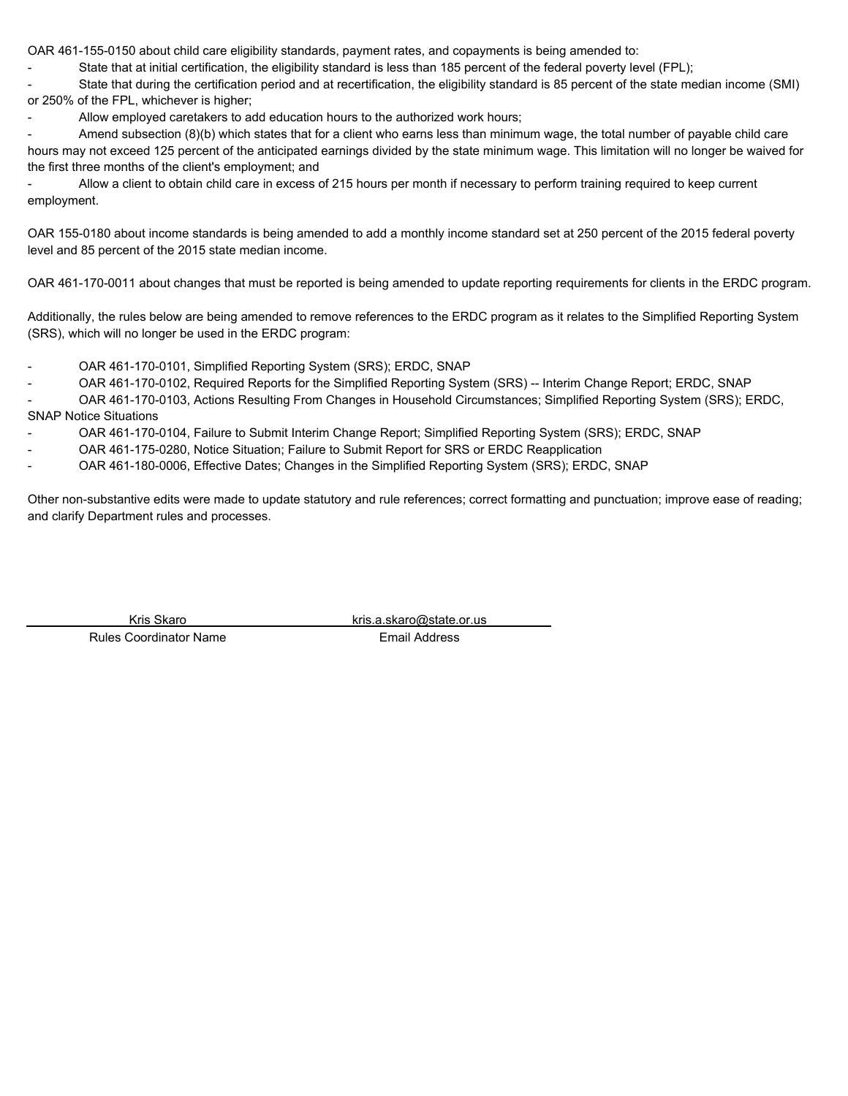OAR 461-155-0150 about child care eligibility standards, payment rates, and copayments is being amended to:

State that at initial certification, the eligibility standard is less than 185 percent of the federal poverty level (FPL);

- State that during the certification period and at recertification, the eligibility standard is 85 percent of the state median income (SMI) or 250% of the FPL, whichever is higher;

Allow employed caretakers to add education hours to the authorized work hours:

Amend subsection (8)(b) which states that for a client who earns less than minimum wage, the total number of payable child care hours may not exceed 125 percent of the anticipated earnings divided by the state minimum wage. This limitation will no longer be waived for the first three months of the client's employment; and

- Allow a client to obtain child care in excess of 215 hours per month if necessary to perform training required to keep current employment.

OAR 155-0180 about income standards is being amended to add a monthly income standard set at 250 percent of the 2015 federal poverty level and 85 percent of the 2015 state median income.

OAR 461-170-0011 about changes that must be reported is being amended to update reporting requirements for clients in the ERDC program.

Additionally, the rules below are being amended to remove references to the ERDC program as it relates to the Simplified Reporting System (SRS), which will no longer be used in the ERDC program:

- OAR 461-170-0101, Simplified Reporting System (SRS); ERDC, SNAP
- OAR 461-170-0102, Required Reports for the Simplified Reporting System (SRS) -- Interim Change Report; ERDC, SNAP

- OAR 461-170-0103, Actions Resulting From Changes in Household Circumstances; Simplified Reporting System (SRS); ERDC, SNAP Notice Situations

- OAR 461-170-0104, Failure to Submit Interim Change Report; Simplified Reporting System (SRS); ERDC, SNAP
- OAR 461-175-0280, Notice Situation; Failure to Submit Report for SRS or ERDC Reapplication
- OAR 461-180-0006, Effective Dates; Changes in the Simplified Reporting System (SRS); ERDC, SNAP

Other non-substantive edits were made to update statutory and rule references; correct formatting and punctuation; improve ease of reading; and clarify Department rules and processes.

Rules Coordinator Name **Email Address** 

Kris Skaro **kris.a.skaro@state.or.us**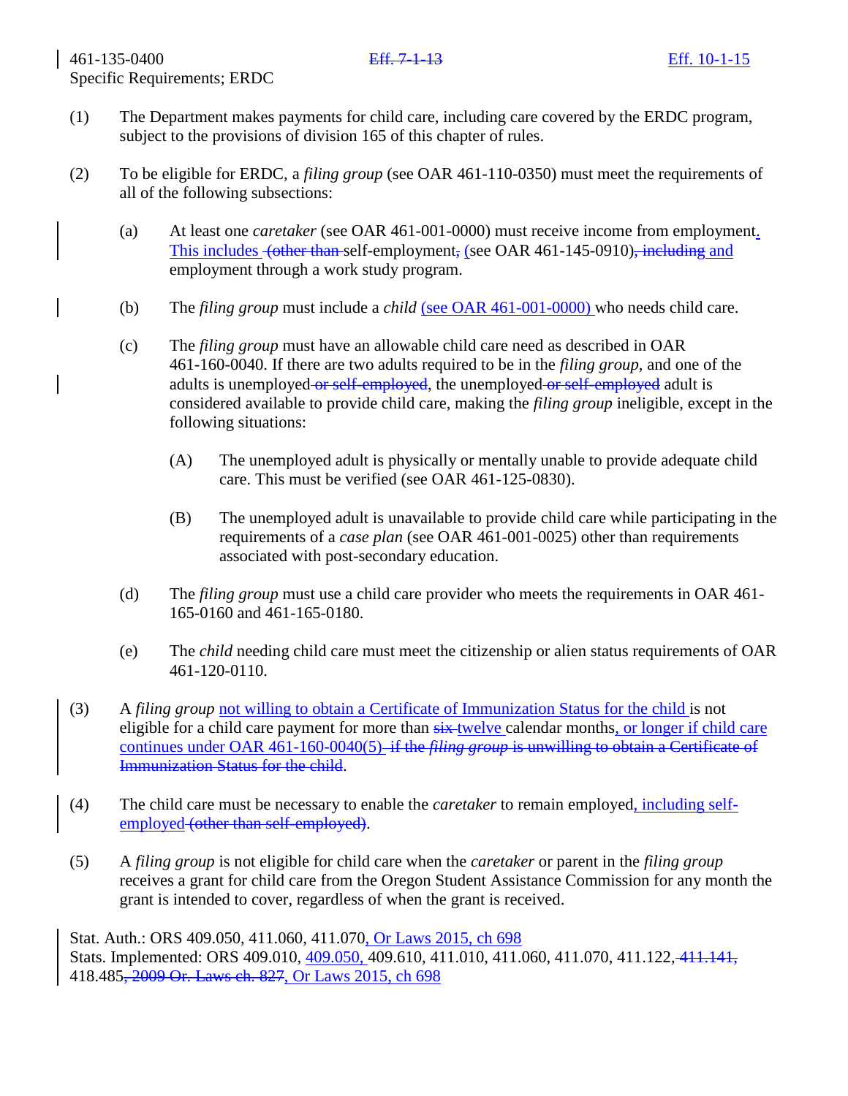- (1) The Department makes payments for child care, including care covered by the ERDC program, subject to the provisions of division 165 of this chapter of rules.
- (2) To be eligible for ERDC, a *filing group* (see OAR 461-110-0350) must meet the requirements of all of the following subsections:
	- (a) At least one *caretaker* (see OAR 461-001-0000) must receive income from employment. This includes <del>(other than s</del>elf-employment, (see OAR 461-145-0910), including and employment through a work study program.
	- (b) The *filing group* must include a *child* (see OAR 461-001-0000) who needs child care.
	- (c) The *filing group* must have an allowable child care need as described in OAR 461-160-0040. If there are two adults required to be in the *filing group*, and one of the adults is unemployed or self-employed, the unemployed or self-employed adult is considered available to provide child care, making the *filing group* ineligible, except in the following situations:
		- (A) The unemployed adult is physically or mentally unable to provide adequate child care. This must be verified (see OAR 461-125-0830).
		- (B) The unemployed adult is unavailable to provide child care while participating in the requirements of a *case plan* (see OAR 461-001-0025) other than requirements associated with post-secondary education.
	- (d) The *filing group* must use a child care provider who meets the requirements in OAR 461- 165-0160 and 461-165-0180.
	- (e) The *child* needing child care must meet the citizenship or alien status requirements of OAR 461-120-0110.
- (3) A *filing group* not willing to obtain a Certificate of Immunization Status for the child is not eligible for a child care payment for more than  $s$ ix twelve calendar months, or longer if child care continues under OAR 461-160-0040(5) if the *filing group* is unwilling to obtain a Certificate of Immunization Status for the child.
- (4) The child care must be necessary to enable the *caretaker* to remain employed, including selfemployed (other than self-employed).
- (5) A *filing group* is not eligible for child care when the *caretaker* or parent in the *filing group* receives a grant for child care from the Oregon Student Assistance Commission for any month the grant is intended to cover, regardless of when the grant is received.

Stat. Auth.: ORS 409.050, 411.060, 411.070, Or Laws 2015, ch 698 Stats. Implemented: ORS 409.010, 409.050, 409.610, 411.010, 411.060, 411.070, 411.122, 411.141, 418.485, 2009 Or. Laws ch. 827, Or Laws 2015, ch 698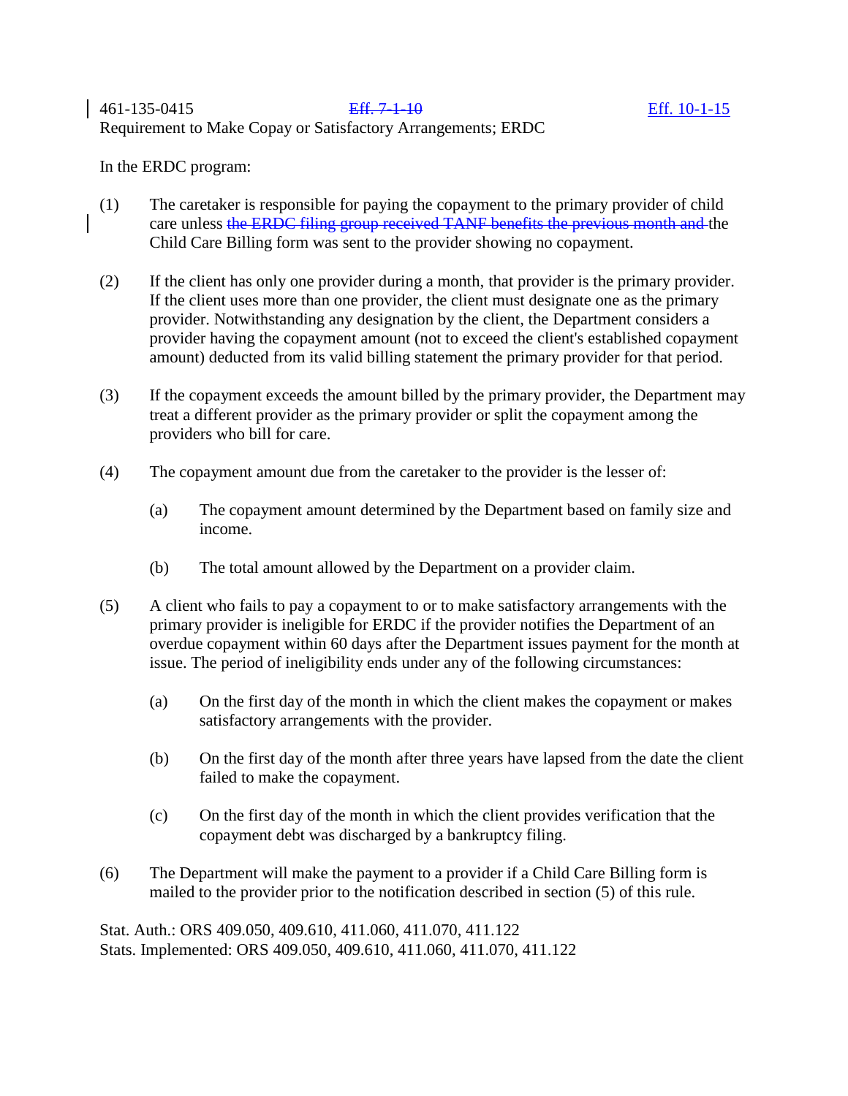## 461-135-0415 Eff. 7-1-10 Eff. 10-1-15 Requirement to Make Copay or Satisfactory Arrangements; ERDC

In the ERDC program:

- (1) The caretaker is responsible for paying the copayment to the primary provider of child care unless the ERDC filing group received TANF benefits the previous month and the Child Care Billing form was sent to the provider showing no copayment.
- (2) If the client has only one provider during a month, that provider is the primary provider. If the client uses more than one provider, the client must designate one as the primary provider. Notwithstanding any designation by the client, the Department considers a provider having the copayment amount (not to exceed the client's established copayment amount) deducted from its valid billing statement the primary provider for that period.
- (3) If the copayment exceeds the amount billed by the primary provider, the Department may treat a different provider as the primary provider or split the copayment among the providers who bill for care.
- (4) The copayment amount due from the caretaker to the provider is the lesser of:
	- (a) The copayment amount determined by the Department based on family size and income.
	- (b) The total amount allowed by the Department on a provider claim.
- (5) A client who fails to pay a copayment to or to make satisfactory arrangements with the primary provider is ineligible for ERDC if the provider notifies the Department of an overdue copayment within 60 days after the Department issues payment for the month at issue. The period of ineligibility ends under any of the following circumstances:
	- (a) On the first day of the month in which the client makes the copayment or makes satisfactory arrangements with the provider.
	- (b) On the first day of the month after three years have lapsed from the date the client failed to make the copayment.
	- (c) On the first day of the month in which the client provides verification that the copayment debt was discharged by a bankruptcy filing.
- (6) The Department will make the payment to a provider if a Child Care Billing form is mailed to the provider prior to the notification described in section (5) of this rule.

Stat. Auth.: ORS 409.050, 409.610, 411.060, 411.070, 411.122 Stats. Implemented: ORS 409.050, 409.610, 411.060, 411.070, 411.122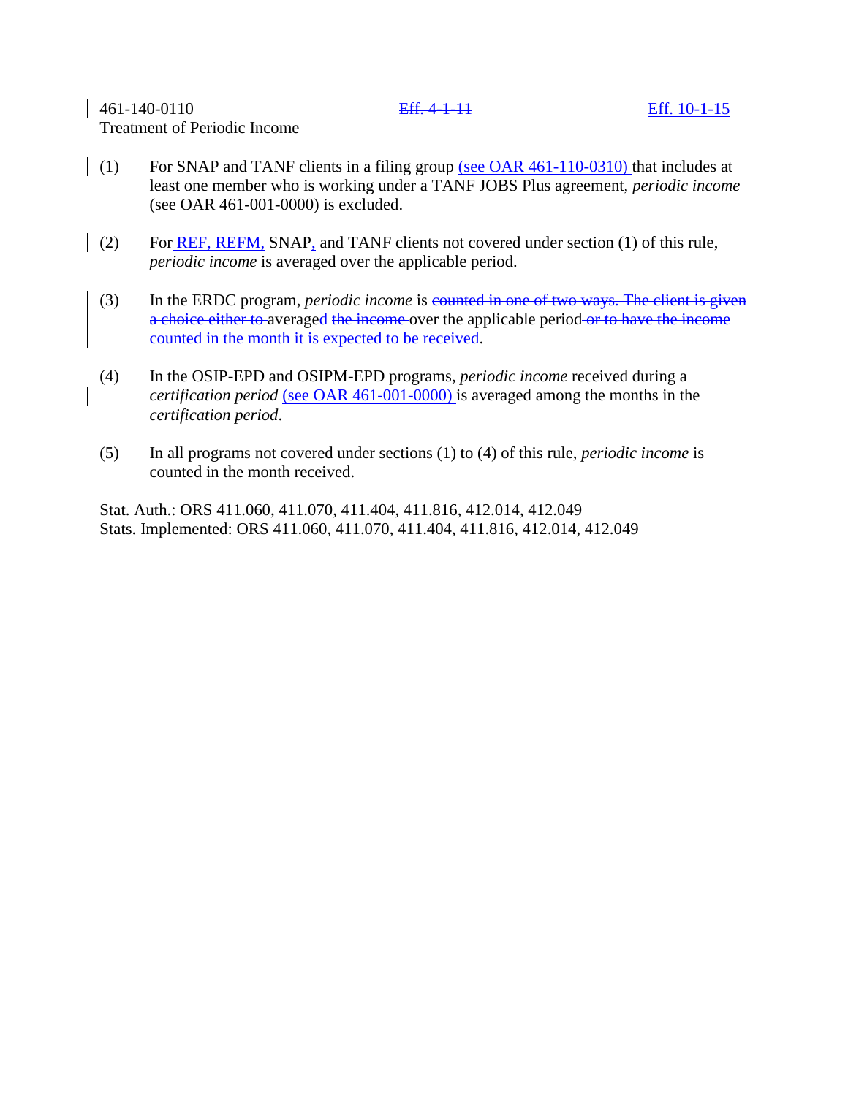## 461-140-0110 Eff. 4-1-11 Eff. 10-1-15 Treatment of Periodic Income

(1) For SNAP and TANF clients in a filing group (see OAR  $461-110-0310$ ) that includes at least one member who is working under a TANF JOBS Plus agreement, *periodic income* (see OAR 461-001-0000) is excluded.

- (2) For  $\overline{\text{REF}}$ ,  $\overline{\text{REF}}$ ,  $\overline{\text{REFM}}$ ,  $\overline{\text{SNAP}}$ , and  $\overline{\text{TANF}}$  clients not covered under section (1) of this rule, *periodic income* is averaged over the applicable period.
	- (3) In the ERDC program, *periodic income* is **equaller in one of two ways. The client is given** a choice either to averaged the income over the applicable period or to have the income counted in the month it is expected to be received.
	- (4) In the OSIP-EPD and OSIPM-EPD programs, *periodic income* received during a *certification period* (see OAR 461-001-0000) is averaged among the months in the *certification period*.
	- (5) In all programs not covered under sections (1) to (4) of this rule, *periodic income* is counted in the month received.

Stat. Auth.: ORS 411.060, 411.070, 411.404, 411.816, 412.014, 412.049 Stats. Implemented: ORS 411.060, 411.070, 411.404, 411.816, 412.014, 412.049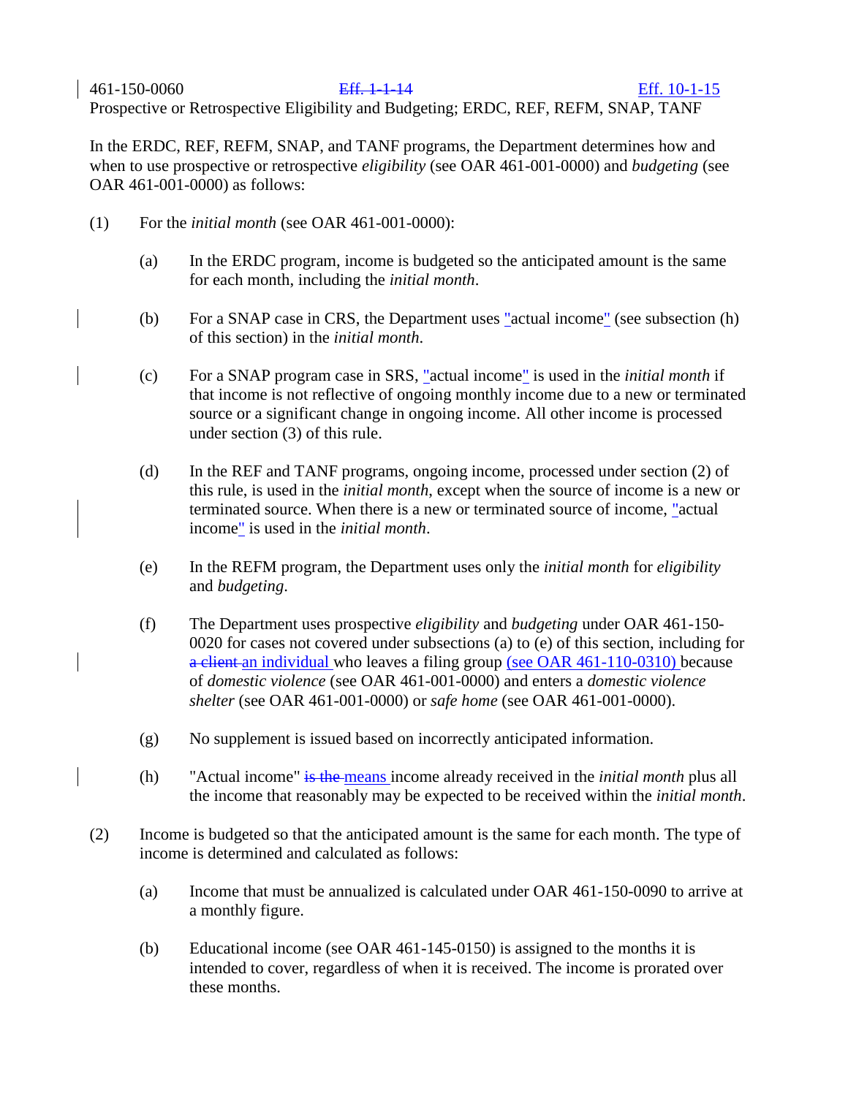## 461-150-0060 Eff. 1-1-14 Eff. 10-1-15

Prospective or Retrospective Eligibility and Budgeting; ERDC, REF, REFM, SNAP, TANF

In the ERDC, REF, REFM, SNAP, and TANF programs, the Department determines how and when to use prospective or retrospective *eligibility* (see OAR 461-001-0000) and *budgeting* (see OAR 461-001-0000) as follows:

- (1) For the *initial month* (see OAR 461-001-0000):
	- (a) In the ERDC program, income is budgeted so the anticipated amount is the same for each month, including the *initial month*.
	- (b) For a SNAP case in CRS, the Department uses "actual income" (see subsection (h) of this section) in the *initial month*.
	- (c) For a SNAP program case in SRS, "actual income" is used in the *initial month* if that income is not reflective of ongoing monthly income due to a new or terminated source or a significant change in ongoing income. All other income is processed under section (3) of this rule.
	- (d) In the REF and TANF programs, ongoing income, processed under section (2) of this rule, is used in the *initial month*, except when the source of income is a new or terminated source. When there is a new or terminated source of income, "actual income" is used in the *initial month*.
	- (e) In the REFM program, the Department uses only the *initial month* for *eligibility* and *budgeting*.
	- (f) The Department uses prospective *eligibility* and *budgeting* under OAR 461-150- 0020 for cases not covered under subsections (a) to (e) of this section, including for a client an individual who leaves a filing group (see OAR 461-110-0310) because of *domestic violence* (see OAR 461-001-0000) and enters a *domestic violence shelter* (see OAR 461-001-0000) or *safe home* (see OAR 461-001-0000).
	- (g) No supplement is issued based on incorrectly anticipated information.
	- (h) "Actual income" is the means income already received in the *initial month* plus all the income that reasonably may be expected to be received within the *initial month*.
- (2) Income is budgeted so that the anticipated amount is the same for each month. The type of income is determined and calculated as follows:
	- (a) Income that must be annualized is calculated under OAR 461-150-0090 to arrive at a monthly figure.
	- (b) Educational income (see OAR 461-145-0150) is assigned to the months it is intended to cover, regardless of when it is received. The income is prorated over these months.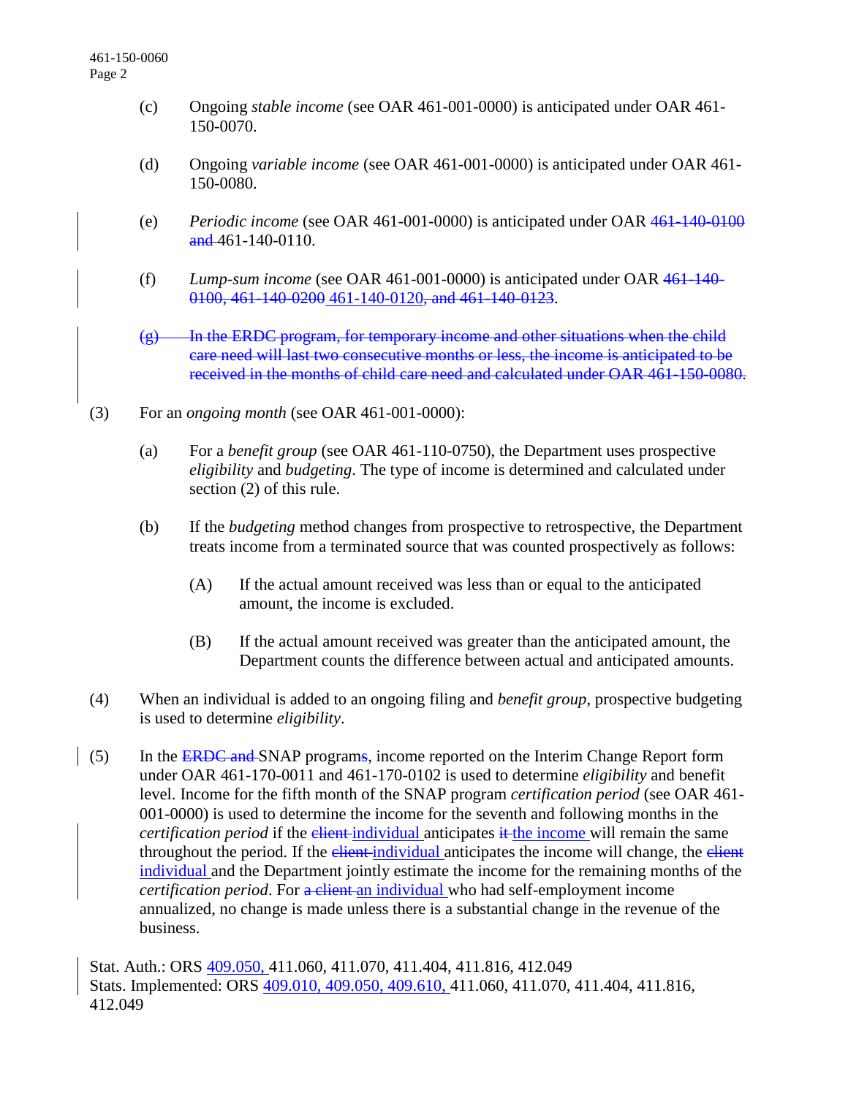- (c) Ongoing *stable income* (see OAR 461-001-0000) is anticipated under OAR 461- 150-0070.
- (d) Ongoing *variable income* (see OAR 461-001-0000) is anticipated under OAR 461- 150-0080.
- (e) *Periodic income* (see OAR 461-001-0000) is anticipated under OAR 461-140-0100  $\frac{and}{461-140-0110}$ .
- (f) *Lump-sum income* (see OAR 461-001-0000) is anticipated under OAR 461-140- 0100, 461-140-0200 461-140-0120, and 461-140-0123.
- $(g)$  In the ERDC program, for temporary income and other situations when the child care need will last two consecutive months or less, the income is anticipated to be received in the months of child care need and calculated under OAR 461-150-0080.
- (3) For an *ongoing month* (see OAR 461-001-0000):
	- (a) For a *benefit group* (see OAR 461-110-0750), the Department uses prospective *eligibility* and *budgeting*. The type of income is determined and calculated under section (2) of this rule.
	- (b) If the *budgeting* method changes from prospective to retrospective, the Department treats income from a terminated source that was counted prospectively as follows:
		- (A) If the actual amount received was less than or equal to the anticipated amount, the income is excluded.
		- (B) If the actual amount received was greater than the anticipated amount, the Department counts the difference between actual and anticipated amounts.
- (4) When an individual is added to an ongoing filing and *benefit group*, prospective budgeting is used to determine *eligibility*.
- (5) In the **ERDC and SNAP** programs, income reported on the Interim Change Report form under OAR 461-170-0011 and 461-170-0102 is used to determine *eligibility* and benefit level. Income for the fifth month of the SNAP program *certification period* (see OAR 461- 001-0000) is used to determine the income for the seventh and following months in the *certification period* if the <del>client</del>-individual anticipates it the income will remain the same throughout the period. If the client-individual anticipates the income will change, the client individual and the Department jointly estimate the income for the remaining months of the *certification period.* For a client an individual who had self-employment income annualized, no change is made unless there is a substantial change in the revenue of the business.

Stat. Auth.: ORS 409.050, 411.060, 411.070, 411.404, 411.816, 412.049 Stats. Implemented: ORS 409.010, 409.050, 409.610, 411.060, 411.070, 411.404, 411.816, 412.049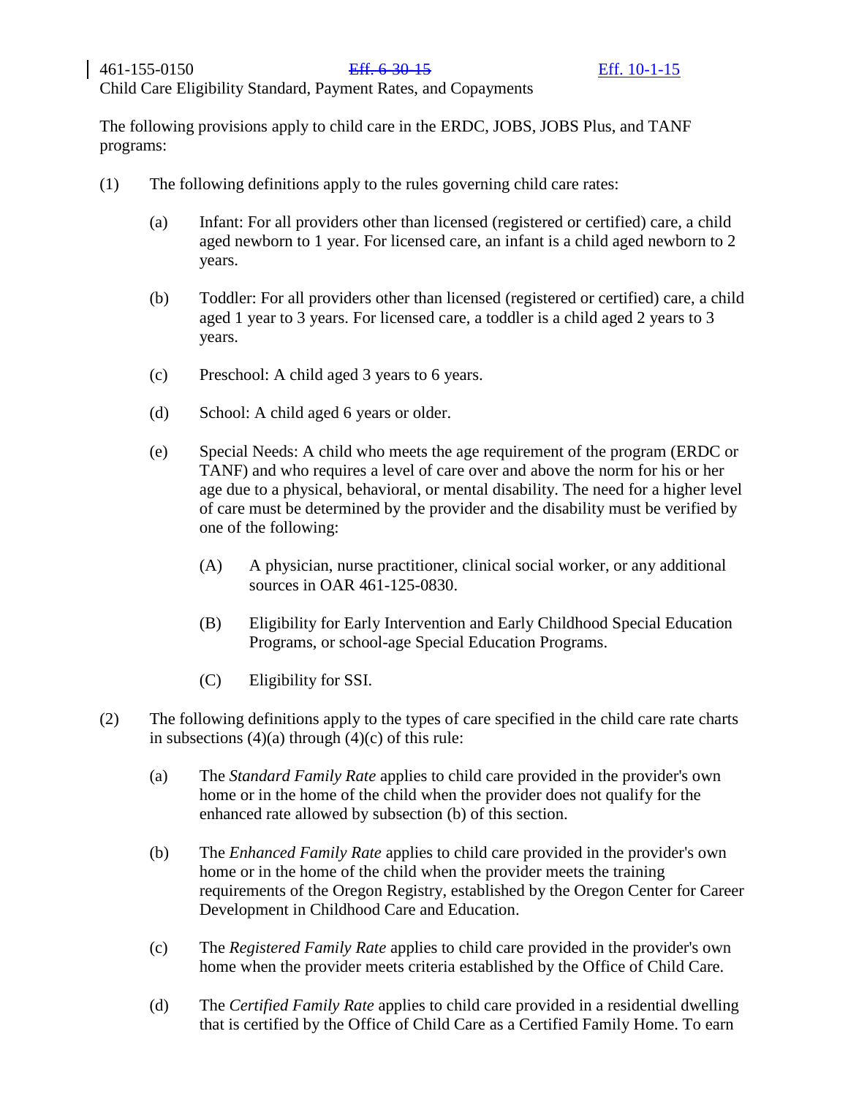The following provisions apply to child care in the ERDC, JOBS, JOBS Plus, and TANF programs:

- (1) The following definitions apply to the rules governing child care rates:
	- (a) Infant: For all providers other than licensed (registered or certified) care, a child aged newborn to 1 year. For licensed care, an infant is a child aged newborn to 2 years.
	- (b) Toddler: For all providers other than licensed (registered or certified) care, a child aged 1 year to 3 years. For licensed care, a toddler is a child aged 2 years to 3 years.
	- (c) Preschool: A child aged 3 years to 6 years.
	- (d) School: A child aged 6 years or older.
	- (e) Special Needs: A child who meets the age requirement of the program (ERDC or TANF) and who requires a level of care over and above the norm for his or her age due to a physical, behavioral, or mental disability. The need for a higher level of care must be determined by the provider and the disability must be verified by one of the following:
		- (A) A physician, nurse practitioner, clinical social worker, or any additional sources in OAR 461-125-0830.
		- (B) Eligibility for Early Intervention and Early Childhood Special Education Programs, or school-age Special Education Programs.
		- (C) Eligibility for SSI.
- (2) The following definitions apply to the types of care specified in the child care rate charts in subsections  $(4)(a)$  through  $(4)(c)$  of this rule:
	- (a) The *Standard Family Rate* applies to child care provided in the provider's own home or in the home of the child when the provider does not qualify for the enhanced rate allowed by subsection (b) of this section.
	- (b) The *Enhanced Family Rate* applies to child care provided in the provider's own home or in the home of the child when the provider meets the training requirements of the Oregon Registry, established by the Oregon Center for Career Development in Childhood Care and Education.
	- (c) The *Registered Family Rate* applies to child care provided in the provider's own home when the provider meets criteria established by the Office of Child Care.
	- (d) The *Certified Family Rate* applies to child care provided in a residential dwelling that is certified by the Office of Child Care as a Certified Family Home. To earn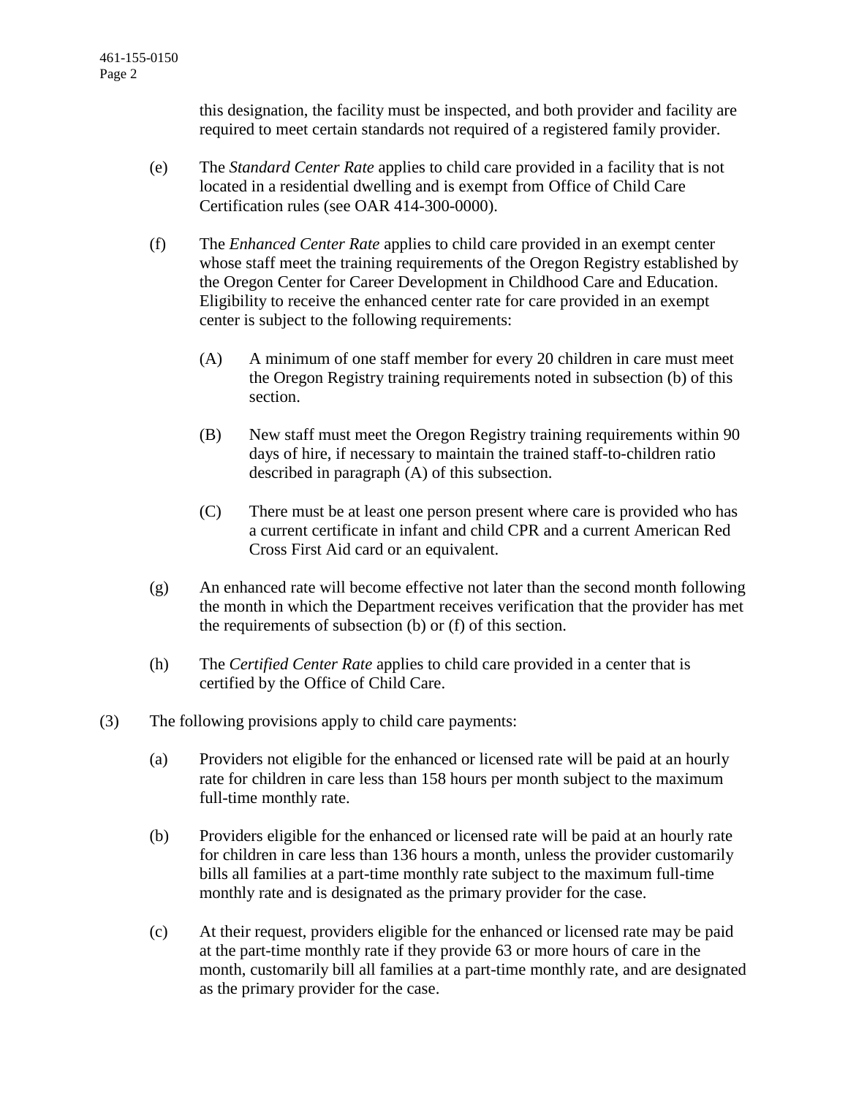this designation, the facility must be inspected, and both provider and facility are required to meet certain standards not required of a registered family provider.

- (e) The *Standard Center Rate* applies to child care provided in a facility that is not located in a residential dwelling and is exempt from Office of Child Care Certification rules (see OAR 414-300-0000).
- (f) The *Enhanced Center Rate* applies to child care provided in an exempt center whose staff meet the training requirements of the Oregon Registry established by the Oregon Center for Career Development in Childhood Care and Education. Eligibility to receive the enhanced center rate for care provided in an exempt center is subject to the following requirements:
	- (A) A minimum of one staff member for every 20 children in care must meet the Oregon Registry training requirements noted in subsection (b) of this section.
	- (B) New staff must meet the Oregon Registry training requirements within 90 days of hire, if necessary to maintain the trained staff-to-children ratio described in paragraph (A) of this subsection.
	- (C) There must be at least one person present where care is provided who has a current certificate in infant and child CPR and a current American Red Cross First Aid card or an equivalent.
- (g) An enhanced rate will become effective not later than the second month following the month in which the Department receives verification that the provider has met the requirements of subsection (b) or (f) of this section.
- (h) The *Certified Center Rate* applies to child care provided in a center that is certified by the Office of Child Care.
- (3) The following provisions apply to child care payments:
	- (a) Providers not eligible for the enhanced or licensed rate will be paid at an hourly rate for children in care less than 158 hours per month subject to the maximum full-time monthly rate.
	- (b) Providers eligible for the enhanced or licensed rate will be paid at an hourly rate for children in care less than 136 hours a month, unless the provider customarily bills all families at a part-time monthly rate subject to the maximum full-time monthly rate and is designated as the primary provider for the case.
	- (c) At their request, providers eligible for the enhanced or licensed rate may be paid at the part-time monthly rate if they provide 63 or more hours of care in the month, customarily bill all families at a part-time monthly rate, and are designated as the primary provider for the case.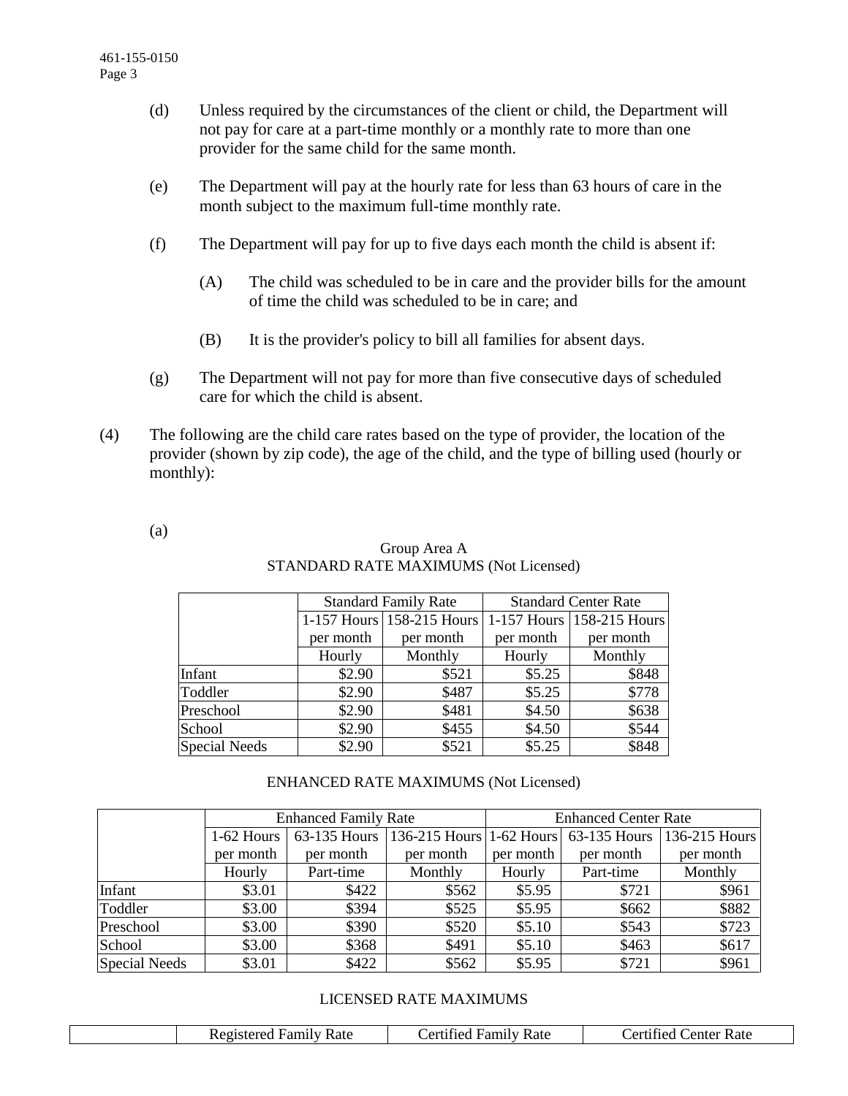- (d) Unless required by the circumstances of the client or child, the Department will not pay for care at a part-time monthly or a monthly rate to more than one provider for the same child for the same month.
- (e) The Department will pay at the hourly rate for less than 63 hours of care in the month subject to the maximum full-time monthly rate.
- (f) The Department will pay for up to five days each month the child is absent if:
	- (A) The child was scheduled to be in care and the provider bills for the amount of time the child was scheduled to be in care; and
	- (B) It is the provider's policy to bill all families for absent days.
- (g) The Department will not pay for more than five consecutive days of scheduled care for which the child is absent.
- (4) The following are the child care rates based on the type of provider, the location of the provider (shown by zip code), the age of the child, and the type of billing used (hourly or monthly):

(a)

|                      |           | <b>Standard Family Rate</b> | <b>Standard Center Rate</b> |                           |  |  |
|----------------------|-----------|-----------------------------|-----------------------------|---------------------------|--|--|
|                      |           | 1-157 Hours 158-215 Hours   |                             | 1-157 Hours 158-215 Hours |  |  |
|                      | per month | per month                   | per month                   | per month                 |  |  |
|                      | Hourly    | Monthly                     | Hourly                      | Monthly                   |  |  |
| Infant               | \$2.90    | \$521                       | \$5.25                      | \$848                     |  |  |
| Toddler              | \$2.90    | \$487                       | \$5.25                      | \$778                     |  |  |
| Preschool            | \$2.90    | \$481                       | \$4.50                      | \$638                     |  |  |
| School               | \$2.90    | \$455                       | \$4.50                      | \$544                     |  |  |
| <b>Special Needs</b> | \$2.90    | \$521                       | \$5.25                      | \$848                     |  |  |

## Group Area A STANDARD RATE MAXIMUMS (Not Licensed)

## ENHANCED RATE MAXIMUMS (Not Licensed)

|                      |            | <b>Enhanced Family Rate</b> |           | <b>Enhanced Center Rate</b> |           |                                                     |  |  |
|----------------------|------------|-----------------------------|-----------|-----------------------------|-----------|-----------------------------------------------------|--|--|
|                      | 1-62 Hours | 63-135 Hours                |           |                             |           | 136-215 Hours 1-62 Hours 63-135 Hours 136-215 Hours |  |  |
|                      | per month  | per month                   | per month | per month                   | per month | per month                                           |  |  |
|                      | Hourly     | Part-time                   | Monthly   | Hourly                      | Part-time | Monthly                                             |  |  |
| Infant               | \$3.01     | \$422                       | \$562     | \$5.95                      | \$721     | \$961                                               |  |  |
| Toddler              | \$3.00     | \$394                       | \$525     | \$5.95                      | \$662     | \$882                                               |  |  |
| Preschool            | \$3.00     | \$390                       | \$520     | \$5.10                      | \$543     | \$723                                               |  |  |
| School               | \$3.00     | \$368                       | \$491     | \$5.10                      | \$463     | \$617                                               |  |  |
| <b>Special Needs</b> | \$3.01     | \$422                       | \$562     | \$5.95                      | \$721     | \$961                                               |  |  |

## LICENSED RATE MAXIMUMS

| <b>Certified Family Rate</b> |
|------------------------------|
|------------------------------|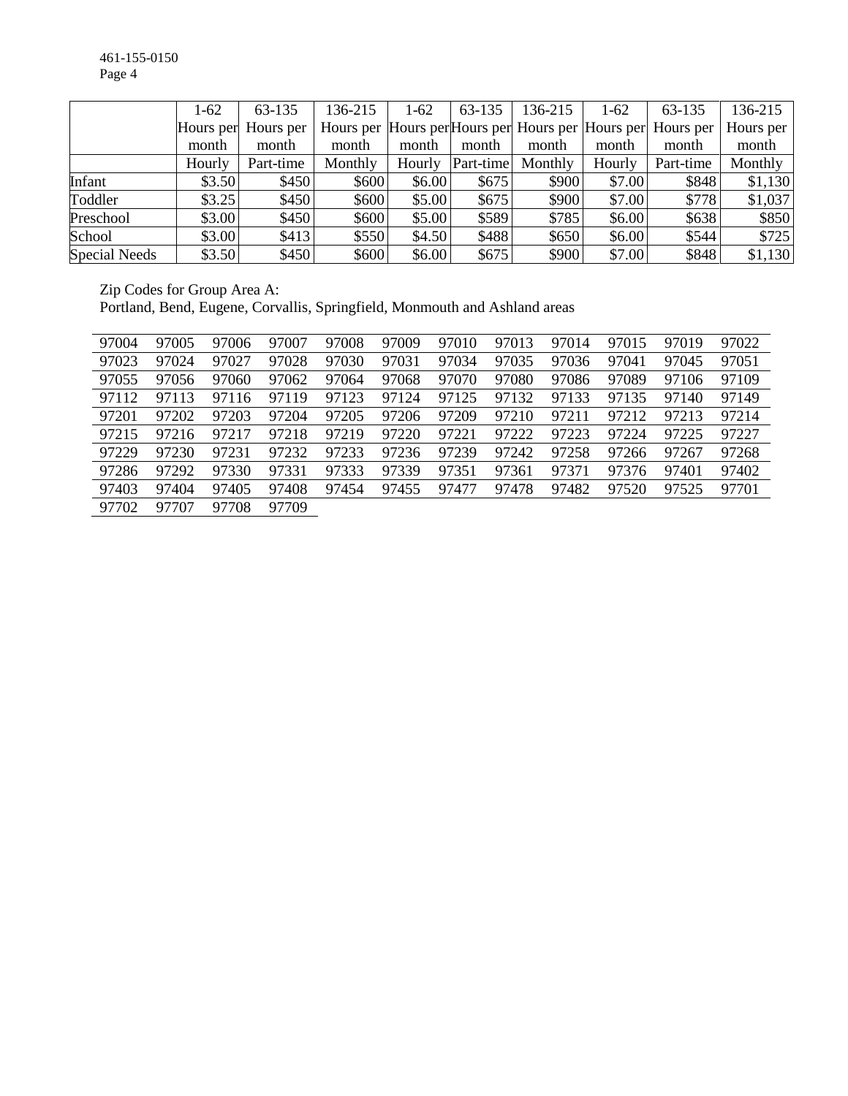|                      | $1-62$ | 63-135              | 136-215 | $1-62$ | 63-135    | 136-215                                                     | $1-62$ | 63-135    | 136-215   |
|----------------------|--------|---------------------|---------|--------|-----------|-------------------------------------------------------------|--------|-----------|-----------|
|                      |        | Hours per Hours per |         |        |           | Hours per Hours per Hours per Hours per Hours per Hours per |        |           | Hours per |
|                      | month  | month               | month   | month  | month     | month                                                       | month  | month     | month     |
|                      | Hourly | Part-time           | Monthly | Hourly | Part-time | Monthly                                                     | Hourly | Part-time | Monthly   |
| Infant               | \$3.50 | \$450               | \$600   | \$6.00 | \$675     | \$900                                                       | \$7.00 | \$848     | \$1,130   |
| Toddler              | \$3.25 | \$450               | \$600   | \$5.00 | \$675     | \$900                                                       | \$7.00 | \$778     | \$1,037   |
| Preschool            | \$3.00 | \$450               | \$600   | \$5.00 | \$589     | \$785                                                       | \$6.00 | \$638     | \$850     |
| School               | \$3.00 | \$413               | \$550   | \$4.50 | \$488     | \$650                                                       | \$6.00 | \$544     | \$725     |
| <b>Special Needs</b> | \$3.50 | \$450               | \$600   | \$6.00 | \$675     | \$900                                                       | \$7.00 | \$848     | \$1,130   |

Zip Codes for Group Area A:

Portland, Bend, Eugene, Corvallis, Springfield, Monmouth and Ashland areas

| 97004 | 97005 | 97006 | 97007 | 97008 | 97009 | 97010 | 97013 | 97014 | 97015 | 97019 | 97022 |
|-------|-------|-------|-------|-------|-------|-------|-------|-------|-------|-------|-------|
| 97023 | 97024 | 97027 | 97028 | 97030 | 97031 | 97034 | 97035 | 97036 | 97041 | 97045 | 97051 |
| 97055 | 97056 | 97060 | 97062 | 97064 | 97068 | 97070 | 97080 | 97086 | 97089 | 97106 | 97109 |
| 97112 | 97113 | 97116 | 97119 | 97123 | 97124 | 97125 | 97132 | 97133 | 97135 | 97140 | 97149 |
| 97201 | 97202 | 97203 | 97204 | 97205 | 97206 | 97209 | 97210 | 97211 | 97212 | 97213 | 97214 |
| 97215 | 97216 | 97217 | 97218 | 97219 | 97220 | 97221 | 97222 | 97223 | 97224 | 97225 | 97227 |
| 97229 | 97230 | 97231 | 97232 | 97233 | 97236 | 97239 | 97242 | 97258 | 97266 | 97267 | 97268 |
| 97286 | 97292 | 97330 | 97331 | 97333 | 97339 | 97351 | 97361 | 97371 | 97376 | 97401 | 97402 |
| 97403 | 97404 | 97405 | 97408 | 97454 | 97455 | 97477 | 97478 | 97482 | 97520 | 97525 | 97701 |
| 97702 | 97707 | 97708 | 97709 |       |       |       |       |       |       |       |       |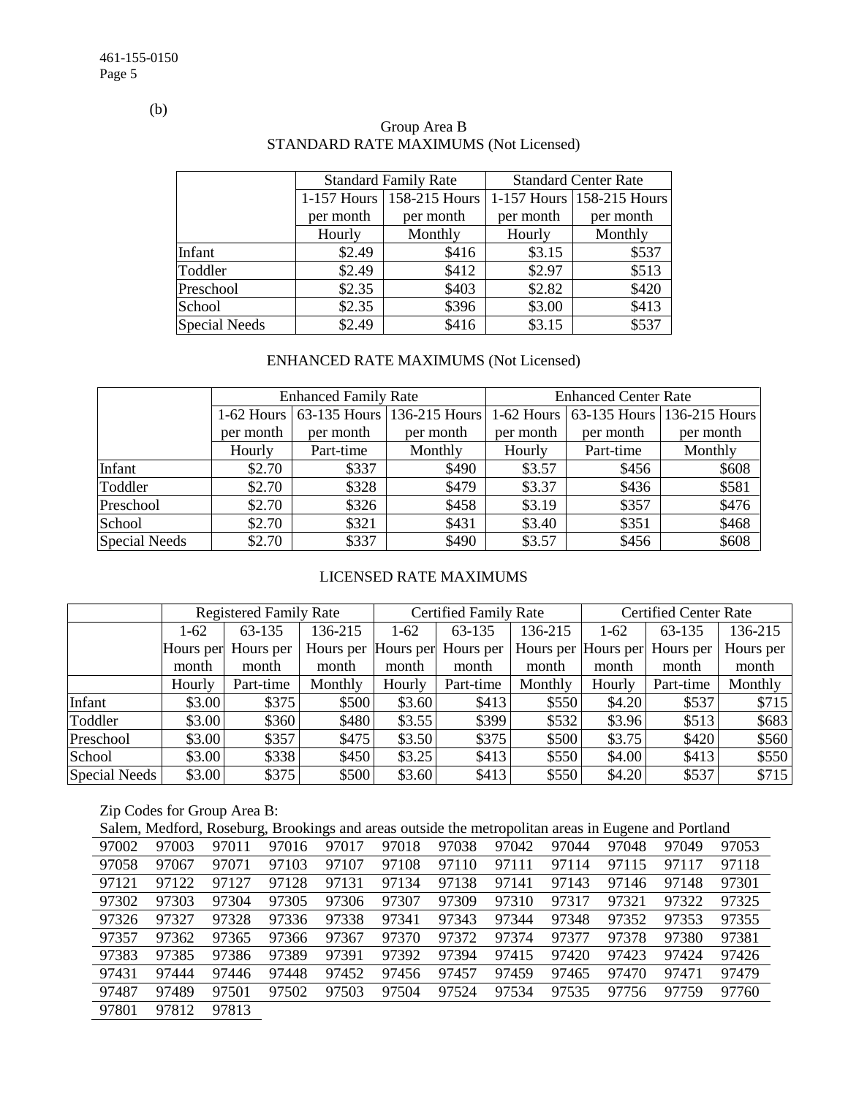(b)

|                      |           | <b>Standard Family Rate</b> |           | <b>Standard Center Rate</b> |  |  |
|----------------------|-----------|-----------------------------|-----------|-----------------------------|--|--|
|                      |           | 1-157 Hours   158-215 Hours |           | 1-157 Hours 158-215 Hours   |  |  |
|                      | per month | per month                   | per month | per month                   |  |  |
|                      | Hourly    | Monthly                     | Hourly    | Monthly                     |  |  |
| Infant               | \$2.49    | \$416                       | \$3.15    | \$537                       |  |  |
| Toddler              | \$2.49    | \$412                       | \$2.97    | \$513                       |  |  |
| Preschool            | \$2.35    | \$403                       | \$2.82    | \$420                       |  |  |
| School               | \$2.35    | \$396                       | \$3.00    | \$413                       |  |  |
| <b>Special Needs</b> | \$2.49    | \$416                       | \$3.15    | \$537                       |  |  |

# Group Area B STANDARD RATE MAXIMUMS (Not Licensed)

# ENHANCED RATE MAXIMUMS (Not Licensed)

|                      |           | <b>Enhanced Family Rate</b> |                                       | <b>Enhanced Center Rate</b> |           |                                       |  |  |
|----------------------|-----------|-----------------------------|---------------------------------------|-----------------------------|-----------|---------------------------------------|--|--|
|                      |           |                             | 1-62 Hours 63-135 Hours 136-215 Hours |                             |           | 1-62 Hours 63-135 Hours 136-215 Hours |  |  |
|                      | per month | per month                   | per month                             | per month                   | per month | per month                             |  |  |
|                      | Hourly    | Part-time                   | Monthly                               | Hourly                      | Part-time | Monthly                               |  |  |
| Infant               | \$2.70    | \$337                       | \$490                                 | \$3.57                      | \$456     | \$608                                 |  |  |
| Toddler              | \$2.70    | \$328                       | \$479                                 | \$3.37                      | \$436     | \$581                                 |  |  |
| Preschool            | \$2.70    | \$326                       | \$458                                 | \$3.19                      | \$357     | \$476                                 |  |  |
| School               | \$2.70    | \$321                       | \$431                                 | \$3.40                      | \$351     | \$468                                 |  |  |
| <b>Special Needs</b> | \$2.70    | \$337                       | \$490                                 | \$3.57                      | \$456     | \$608                                 |  |  |

## LICENSED RATE MAXIMUMS

|               | <b>Registered Family Rate</b> |           |                     |        | <b>Certified Family Rate</b> |         | <b>Certified Center Rate</b> |                               |           |  |
|---------------|-------------------------------|-----------|---------------------|--------|------------------------------|---------|------------------------------|-------------------------------|-----------|--|
|               | 1-62                          | 63-135    | 136-215             | $1-62$ | 63-135                       | 136-215 | $1-62$                       | 63-135                        | 136-215   |  |
|               | Hours per                     | Hours per | Hours per Hours per |        | Hours per                    |         |                              | Hours per Hours per Hours per | Hours per |  |
|               | month                         | month     | month               | month  | month                        | month   | month                        | month                         | month     |  |
|               | Hourly                        | Part-time | Monthly             | Hourly | Part-time                    | Monthly | Hourly                       | Part-time                     | Monthly   |  |
| Infant        | \$3.00                        | \$375     | \$500               | \$3.60 | \$413                        | \$550   | \$4.20                       | \$537                         | \$715     |  |
| Toddler       | \$3.00                        | \$360     | \$480               | \$3.55 | \$399                        | \$532   | \$3.96                       | \$513                         | \$683     |  |
| Preschool     | \$3.00                        | \$357     | \$475               | \$3.50 | \$375                        | \$500   | \$3.75                       | \$420                         | \$560     |  |
| School        | \$3.00                        | \$338     | \$450               | \$3.25 | \$413                        | \$550   | \$4.00                       | \$413                         | \$550     |  |
| Special Needs | \$3.00                        | \$375     | \$500               | \$3.60 | \$413                        | \$550   | \$4.20                       | \$537                         | \$715     |  |

# Zip Codes for Group Area B:

|       | Salem, Medford, Roseburg, Brookings and areas outside the metropolitan areas in Eugene and Portland |       |       |       |       |       |       |       |       |       |       |
|-------|-----------------------------------------------------------------------------------------------------|-------|-------|-------|-------|-------|-------|-------|-------|-------|-------|
| 97002 | 97003                                                                                               | 97011 | 97016 | 97017 | 97018 | 97038 | 97042 | 97044 | 97048 | 97049 | 97053 |
| 97058 | 97067                                                                                               | 97071 | 97103 | 97107 | 97108 | 97110 | 97111 | 97114 | 97115 | 97117 | 97118 |
| 97121 | 97122                                                                                               | 97127 | 97128 | 97131 | 97134 | 97138 | 97141 | 97143 | 97146 | 97148 | 97301 |
| 97302 | 97303                                                                                               | 97304 | 97305 | 97306 | 97307 | 97309 | 97310 | 97317 | 97321 | 97322 | 97325 |
| 97326 | 97327                                                                                               | 97328 | 97336 | 97338 | 97341 | 97343 | 97344 | 97348 | 97352 | 97353 | 97355 |
| 97357 | 97362                                                                                               | 97365 | 97366 | 97367 | 97370 | 97372 | 97374 | 97377 | 97378 | 97380 | 97381 |
| 97383 | 97385                                                                                               | 97386 | 97389 | 97391 | 97392 | 97394 | 97415 | 97420 | 97423 | 97424 | 97426 |
| 97431 | 97444                                                                                               | 97446 | 97448 | 97452 | 97456 | 97457 | 97459 | 97465 | 97470 | 97471 | 97479 |
| 97487 | 97489                                                                                               | 97501 | 97502 | 97503 | 97504 | 97524 | 97534 | 97535 | 97756 | 97759 | 97760 |
| 97801 | 97812                                                                                               | 97813 |       |       |       |       |       |       |       |       |       |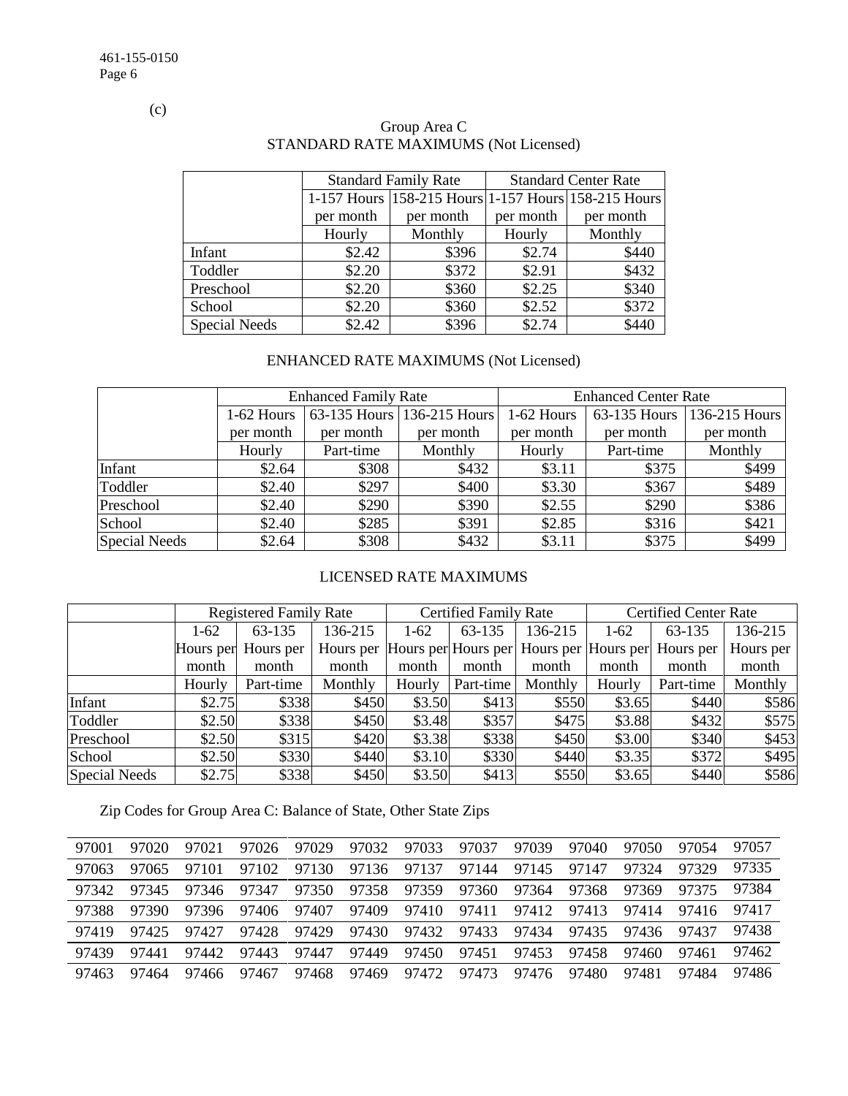(c)

|                      |           | <b>Standard Family Rate</b>                         | <b>Standard Center Rate</b> |           |  |  |
|----------------------|-----------|-----------------------------------------------------|-----------------------------|-----------|--|--|
|                      |           | 1-157 Hours 158-215 Hours 1-157 Hours 158-215 Hours |                             |           |  |  |
|                      | per month | per month                                           | per month                   | per month |  |  |
|                      | Hourly    | Monthly                                             | Hourly                      | Monthly   |  |  |
| Infant               | \$2.42    | \$396                                               | \$2.74                      | \$440     |  |  |
| Toddler              | \$2.20    | \$372                                               | \$2.91                      | \$432     |  |  |
| Preschool            | \$2.20    | \$360                                               | \$2.25                      | \$340     |  |  |
| School               | \$2.20    | \$360                                               | \$2.52                      | \$372     |  |  |
| <b>Special Needs</b> | \$2.42    | \$396                                               | \$2.74                      | \$440     |  |  |

# Group Area C STANDARD RATE MAXIMUMS (Not Licensed)

# ENHANCED RATE MAXIMUMS (Not Licensed)

|                      |            | <b>Enhanced Family Rate</b> |                            | <b>Enhanced Center Rate</b> |              |               |  |
|----------------------|------------|-----------------------------|----------------------------|-----------------------------|--------------|---------------|--|
|                      | 1-62 Hours |                             | 63-135 Hours 136-215 Hours | 1-62 Hours                  | 63-135 Hours | 136-215 Hours |  |
|                      | per month  | per month                   | per month                  | per month                   | per month    | per month     |  |
|                      | Hourly     | Part-time                   | Monthly                    | Hourly                      | Part-time    | Monthly       |  |
| Infant               | \$2.64     | \$308                       | \$432                      | \$3.11                      | \$375        | \$499         |  |
| Toddler              | \$2.40     | \$297                       | \$400                      | \$3.30                      | \$367        | \$489         |  |
| Preschool            | \$2.40     | \$290                       | \$390                      | \$2.55                      | \$290        | \$386         |  |
| School               | \$2.40     | \$285                       | \$391                      | \$2.85                      | \$316        | \$421         |  |
| <b>Special Needs</b> | \$2.64     | \$308                       | \$432                      | \$3.11                      | \$375        | \$499         |  |

## LICENSED RATE MAXIMUMS

|                      |        | <b>Registered Family Rate</b> |         |        | <b>Certified Family Rate</b> |         |          | <b>Certified Center Rate</b>                                |           |  |
|----------------------|--------|-------------------------------|---------|--------|------------------------------|---------|----------|-------------------------------------------------------------|-----------|--|
|                      | $1-62$ | 63-135                        | 136-215 | $1-62$ | 63-135                       | 136-215 | $1 - 62$ | 63-135                                                      | 136-215   |  |
|                      |        | Hours per Hours per           |         |        |                              |         |          | Hours per Hours per Hours per Hours per Hours per Hours per | Hours per |  |
|                      | month  | month                         | month   | month  | month                        | month   | month    | month                                                       | month     |  |
|                      | Hourly | Part-time                     | Monthly | Hourly | Part-time                    | Monthly | Hourly   | Part-time                                                   | Monthly   |  |
| Infant               | \$2.75 | \$338                         | \$450   | \$3.50 | \$413                        | \$550   | \$3.65   | \$440                                                       | \$586     |  |
| Toddler              | \$2.50 | \$338                         | \$450   | \$3.48 | \$357                        | \$475   | \$3.88   | \$432                                                       | \$575     |  |
| Preschool            | \$2.50 | \$315                         | \$420   | \$3.38 | \$338                        | \$450   | \$3.00   | \$340                                                       | \$453     |  |
| School               | \$2.50 | \$330                         | \$440   | \$3.10 | \$330                        | \$440   | \$3.35   | \$372                                                       | \$495     |  |
| <b>Special Needs</b> | \$2.75 | \$338                         | \$450   | \$3.50 | \$413                        | \$550   | \$3.65   | \$440                                                       | \$586     |  |

Zip Codes for Group Area C: Balance of State, Other State Zips

| 97001 | 97020 | 97021     | 97026 | 97029 | 97032 | 97033 | 97037 | 97039 | 97040 | 97050 | 97054 | 97057 |
|-------|-------|-----------|-------|-------|-------|-------|-------|-------|-------|-------|-------|-------|
| 97063 | 97065 | 97<br>101 | 97102 | 97130 | 97136 | 97137 | 97144 | 97145 | 97147 | 97324 | 97329 | 97335 |
| 97342 | 97345 | 97346     | 97347 | 97350 | 97358 | 97359 | 97360 | 97364 | 97368 | 97369 | 97375 | 97384 |
| 97388 | 97390 | 97396     | 97406 | 97407 | 97409 | 97410 | 97411 | 97412 | 97413 | 97414 | 97416 | 97417 |
| 97419 | 97425 | 97427     | 97428 | 97429 | 97430 | 97432 | 97433 | 97434 | 97435 | 97436 | 97437 | 97438 |
| 97439 | 97441 | 97442     | 97443 | 97447 | 97449 | 97450 | 97451 | 97453 | 97458 | 97460 | 97461 | 97462 |
| 97463 | 97464 | 97466     | 97467 | 97468 | 97469 | 97472 | 97473 | 97476 | 97480 | 97481 | 97484 | 97486 |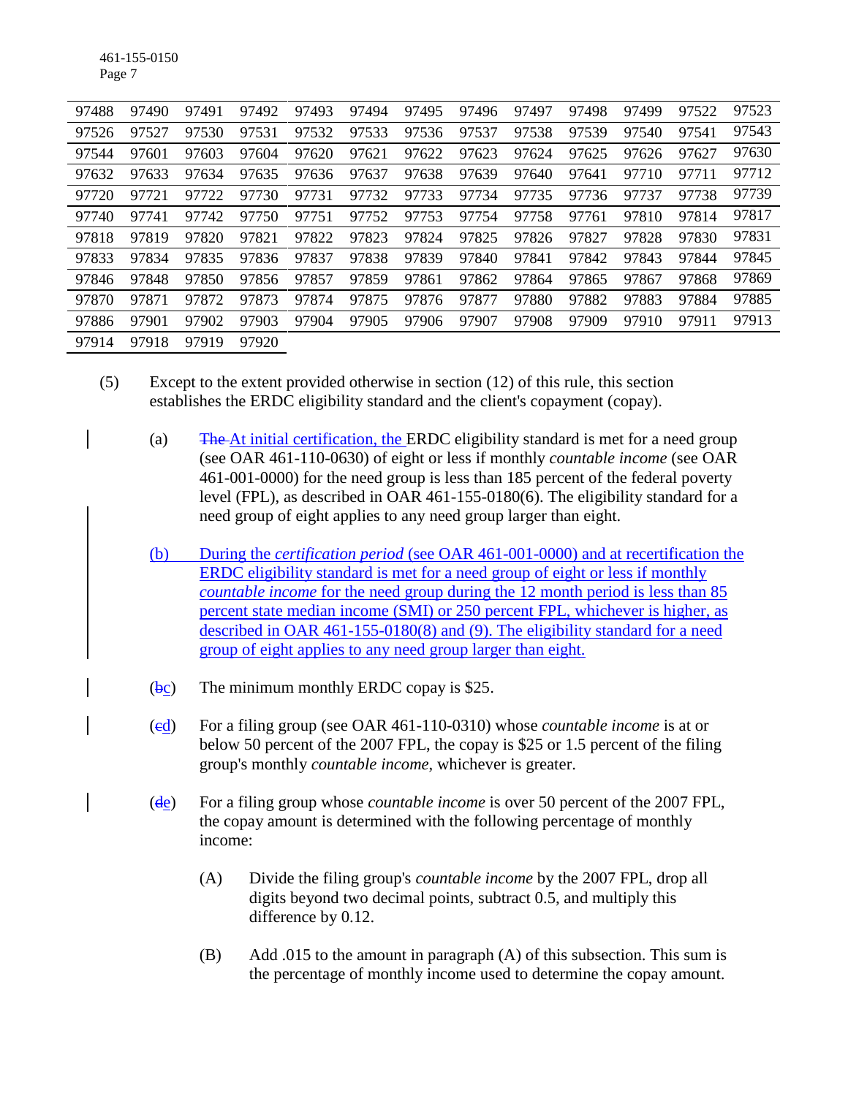461-155-0150 Page 7

| 97488 | 97490 | 97491 | 97492 | 97493 | 97494 | 97495 | 97496 | 97497 | 97498 | 97499 | 97522 | 97523 |
|-------|-------|-------|-------|-------|-------|-------|-------|-------|-------|-------|-------|-------|
| 97526 | 97527 | 97530 | 97531 | 97532 | 97533 | 97536 | 97537 | 97538 | 97539 | 97540 | 97541 | 97543 |
| 97544 | 97601 | 97603 | 97604 | 97620 | 97621 | 97622 | 97623 | 97624 | 97625 | 97626 | 97627 | 97630 |
| 97632 | 97633 | 97634 | 97635 | 97636 | 97637 | 97638 | 97639 | 97640 | 97641 | 97710 | 97711 | 97712 |
| 97720 | 97721 | 97722 | 97730 | 97731 | 97732 | 97733 | 97734 | 97735 | 97736 | 97737 | 97738 | 97739 |
| 97740 | 97741 | 97742 | 97750 | 97751 | 97752 | 97753 | 97754 | 97758 | 97761 | 97810 | 97814 | 97817 |
| 97818 | 97819 | 97820 | 97821 | 97822 | 97823 | 97824 | 97825 | 97826 | 97827 | 97828 | 97830 | 97831 |
| 97833 | 97834 | 97835 | 97836 | 97837 | 97838 | 97839 | 97840 | 97841 | 97842 | 97843 | 97844 | 97845 |
| 97846 | 97848 | 97850 | 97856 | 97857 | 97859 | 97861 | 97862 | 97864 | 97865 | 97867 | 97868 | 97869 |
| 97870 | 97871 | 97872 | 97873 | 97874 | 97875 | 97876 | 97877 | 97880 | 97882 | 97883 | 97884 | 97885 |
| 97886 | 97901 | 97902 | 97903 | 97904 | 97905 | 97906 | 97907 | 97908 | 97909 | 97910 | 97911 | 97913 |
| 97914 | 97918 | 97919 | 97920 |       |       |       |       |       |       |       |       |       |

- (5) Except to the extent provided otherwise in section (12) of this rule, this section establishes the ERDC eligibility standard and the client's copayment (copay).
	- (a) The At initial certification, the ERDC eligibility standard is met for a need group (see OAR 461-110-0630) of eight or less if monthly *countable income* (see OAR 461-001-0000) for the need group is less than 185 percent of the federal poverty level (FPL), as described in OAR 461-155-0180(6). The eligibility standard for a need group of eight applies to any need group larger than eight.
	- (b) During the *certification period* (see OAR 461-001-0000) and at recertification the ERDC eligibility standard is met for a need group of eight or less if monthly *countable income* for the need group during the 12 month period is less than 85 percent state median income (SMI) or 250 percent FPL, whichever is higher, as described in OAR 461-155-0180(8) and (9). The eligibility standard for a need group of eight applies to any need group larger than eight.
	- $(bc)$  The minimum monthly ERDC copay is \$25.
	- (cd) For a filing group (see OAR 461-110-0310) whose *countable income* is at or below 50 percent of the 2007 FPL, the copay is \$25 or 1.5 percent of the filing group's monthly *countable income*, whichever is greater.
	- (de) For a filing group whose *countable income* is over 50 percent of the 2007 FPL, the copay amount is determined with the following percentage of monthly income:
		- (A) Divide the filing group's *countable income* by the 2007 FPL, drop all digits beyond two decimal points, subtract 0.5, and multiply this difference by 0.12.
		- (B) Add .015 to the amount in paragraph (A) of this subsection. This sum is the percentage of monthly income used to determine the copay amount.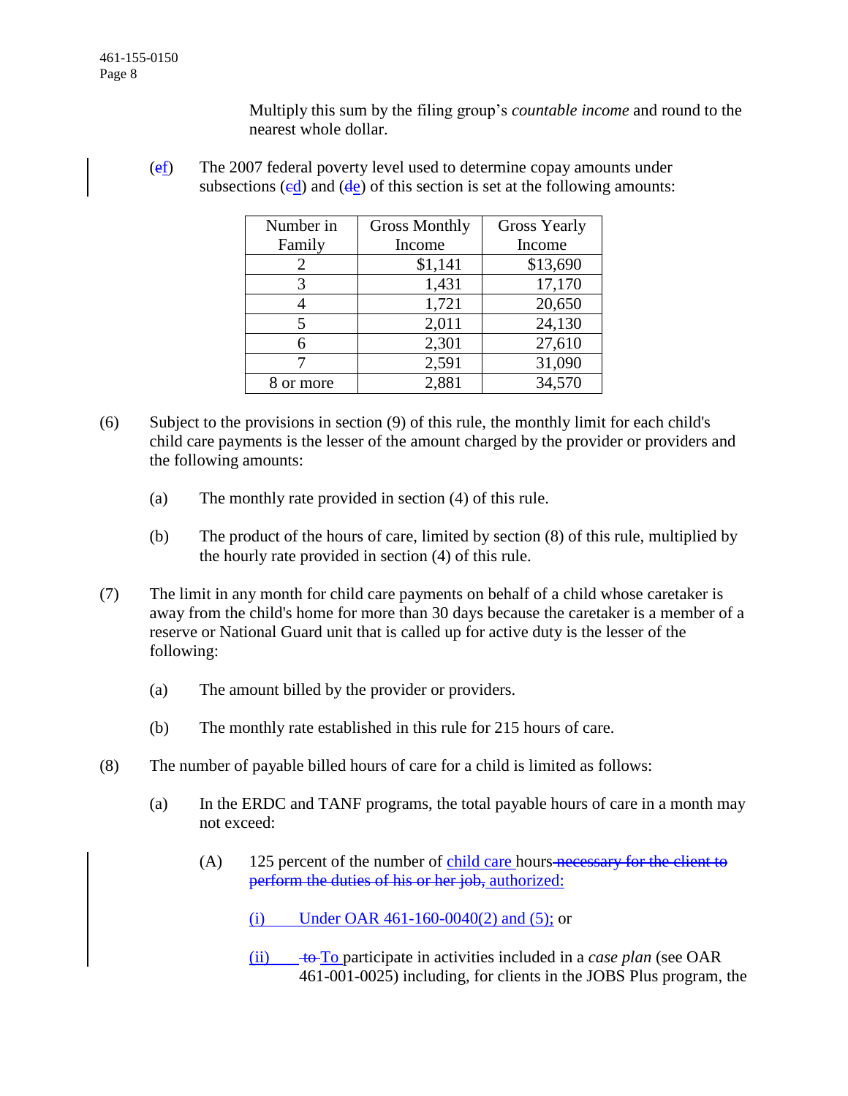Multiply this sum by the filing group's *countable income* and round to the nearest whole dollar.

(ef) The 2007 federal poverty level used to determine copay amounts under subsections  $(ed)$  and  $(de)$  of this section is set at the following amounts:

| Number in | <b>Gross Monthly</b> | <b>Gross Yearly</b> |
|-----------|----------------------|---------------------|
| Family    | Income               | Income              |
| 2         | \$1,141              | \$13,690            |
| 3         | 1,431                | 17,170              |
|           | 1,721                | 20,650              |
| 5         | 2,011                | 24,130              |
| 6         | 2,301                | 27,610              |
|           | 2,591                | 31,090              |
| or more   | 2,881                | 34,570              |

- (6) Subject to the provisions in section (9) of this rule, the monthly limit for each child's child care payments is the lesser of the amount charged by the provider or providers and the following amounts:
	- (a) The monthly rate provided in section (4) of this rule.
	- (b) The product of the hours of care, limited by section (8) of this rule, multiplied by the hourly rate provided in section (4) of this rule.
- (7) The limit in any month for child care payments on behalf of a child whose caretaker is away from the child's home for more than 30 days because the caretaker is a member of a reserve or National Guard unit that is called up for active duty is the lesser of the following:
	- (a) The amount billed by the provider or providers.
	- (b) The monthly rate established in this rule for 215 hours of care.
- (8) The number of payable billed hours of care for a child is limited as follows:
	- (a) In the ERDC and TANF programs, the total payable hours of care in a month may not exceed:
		- (A) 125 percent of the number of child care hours necessary for the client to perform the duties of his or her job, authorized:
			- (i) Under OAR 461-160-0040(2) and (5); or
			- (ii) to To participate in activities included in a *case plan* (see OAR 461-001-0025) including, for clients in the JOBS Plus program, the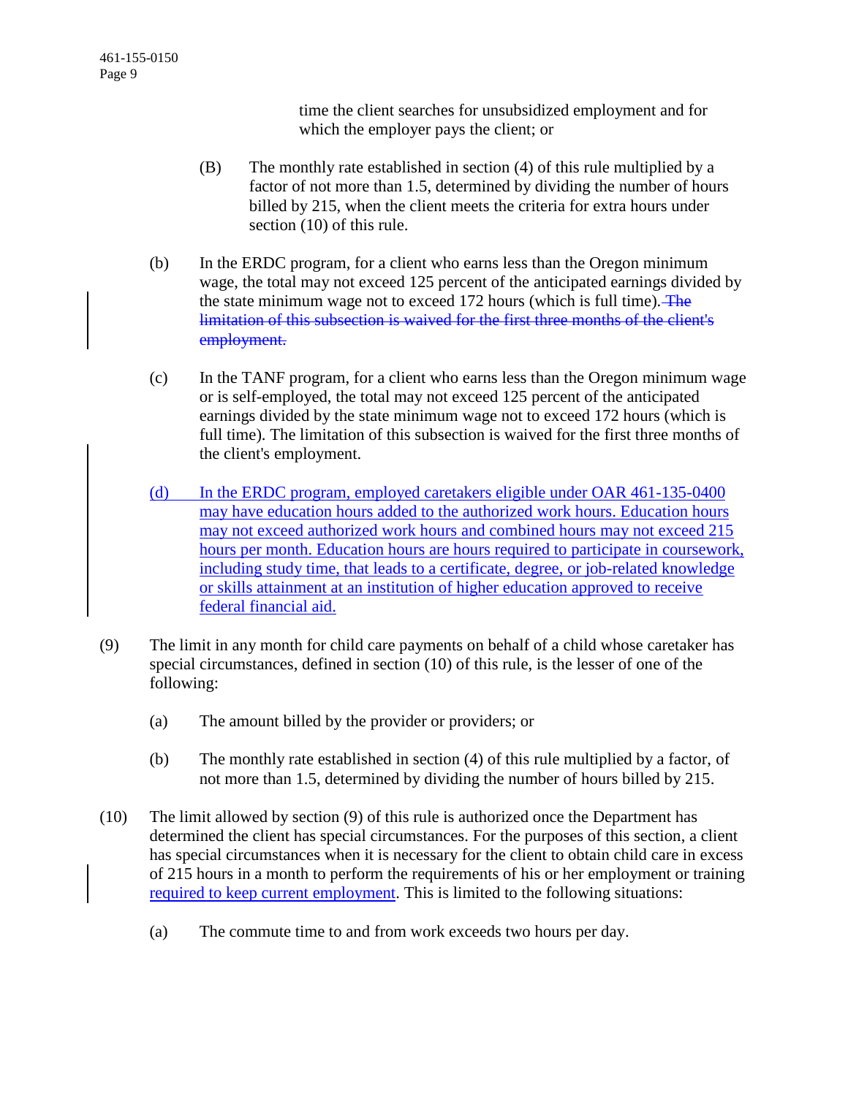time the client searches for unsubsidized employment and for which the employer pays the client; or

- (B) The monthly rate established in section (4) of this rule multiplied by a factor of not more than 1.5, determined by dividing the number of hours billed by 215, when the client meets the criteria for extra hours under section (10) of this rule.
- (b) In the ERDC program, for a client who earns less than the Oregon minimum wage, the total may not exceed 125 percent of the anticipated earnings divided by the state minimum wage not to exceed 172 hours (which is full time). The limitation of this subsection is waived for the first three months of the client's employment.
- (c) In the TANF program, for a client who earns less than the Oregon minimum wage or is self-employed, the total may not exceed 125 percent of the anticipated earnings divided by the state minimum wage not to exceed 172 hours (which is full time). The limitation of this subsection is waived for the first three months of the client's employment.
- (d) In the ERDC program, employed caretakers eligible under OAR 461-135-0400 may have education hours added to the authorized work hours. Education hours may not exceed authorized work hours and combined hours may not exceed 215 hours per month. Education hours are hours required to participate in coursework, including study time, that leads to a certificate, degree, or job-related knowledge or skills attainment at an institution of higher education approved to receive federal financial aid.
- (9) The limit in any month for child care payments on behalf of a child whose caretaker has special circumstances, defined in section (10) of this rule, is the lesser of one of the following:
	- (a) The amount billed by the provider or providers; or
	- (b) The monthly rate established in section (4) of this rule multiplied by a factor, of not more than 1.5, determined by dividing the number of hours billed by 215.
- (10) The limit allowed by section (9) of this rule is authorized once the Department has determined the client has special circumstances. For the purposes of this section, a client has special circumstances when it is necessary for the client to obtain child care in excess of 215 hours in a month to perform the requirements of his or her employment or training required to keep current employment. This is limited to the following situations:
	- (a) The commute time to and from work exceeds two hours per day.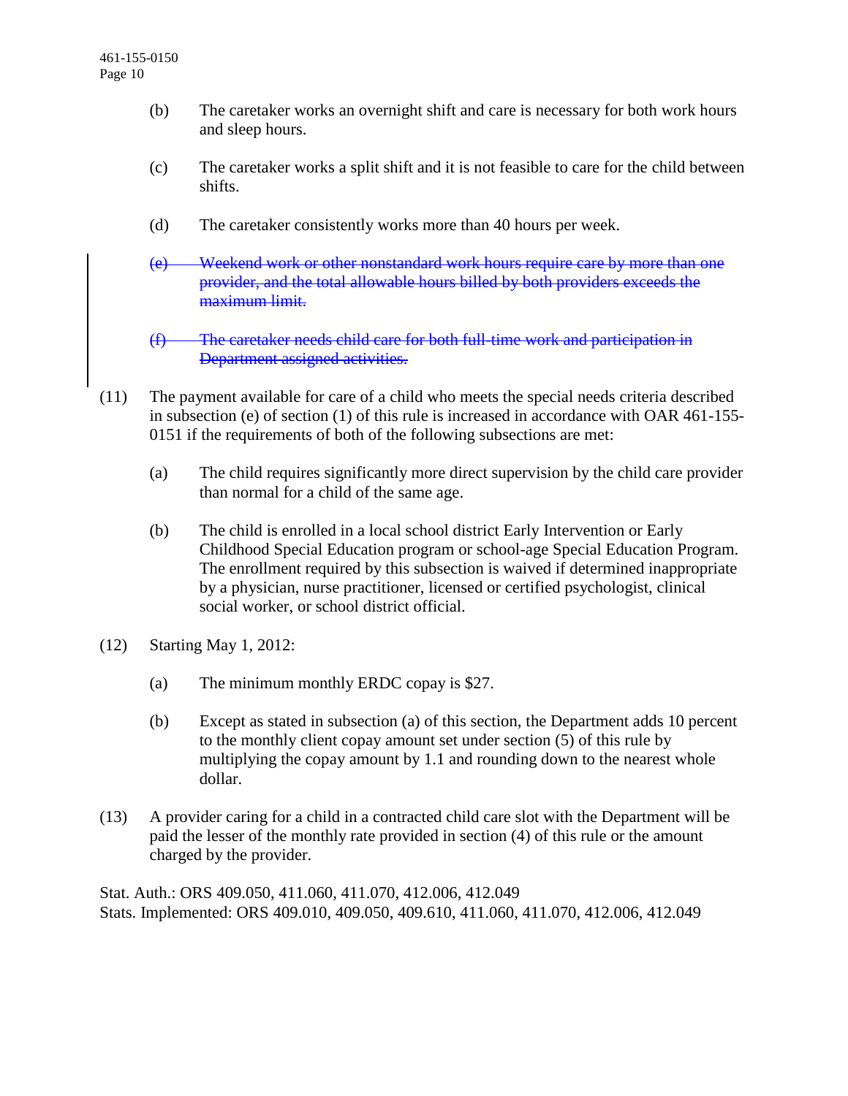- (b) The caretaker works an overnight shift and care is necessary for both work hours and sleep hours.
- (c) The caretaker works a split shift and it is not feasible to care for the child between shifts.
- (d) The caretaker consistently works more than 40 hours per week.
- (e) Weekend work or other nonstandard work hours require care by more than one provider, and the total allowable hours billed by both providers exceeds the maximum limit.
- (f) The caretaker needs child care for both full-time work and participation in Department assigned activities.
- (11) The payment available for care of a child who meets the special needs criteria described in subsection (e) of section (1) of this rule is increased in accordance with OAR 461-155- 0151 if the requirements of both of the following subsections are met:
	- (a) The child requires significantly more direct supervision by the child care provider than normal for a child of the same age.
	- (b) The child is enrolled in a local school district Early Intervention or Early Childhood Special Education program or school-age Special Education Program. The enrollment required by this subsection is waived if determined inappropriate by a physician, nurse practitioner, licensed or certified psychologist, clinical social worker, or school district official.
- (12) Starting May 1, 2012:
	- (a) The minimum monthly ERDC copay is \$27.
	- (b) Except as stated in subsection (a) of this section, the Department adds 10 percent to the monthly client copay amount set under section (5) of this rule by multiplying the copay amount by 1.1 and rounding down to the nearest whole dollar.
- (13) A provider caring for a child in a contracted child care slot with the Department will be paid the lesser of the monthly rate provided in section (4) of this rule or the amount charged by the provider.

Stat. Auth.: ORS 409.050, 411.060, 411.070, 412.006, 412.049 Stats. Implemented: ORS 409.010, 409.050, 409.610, 411.060, 411.070, 412.006, 412.049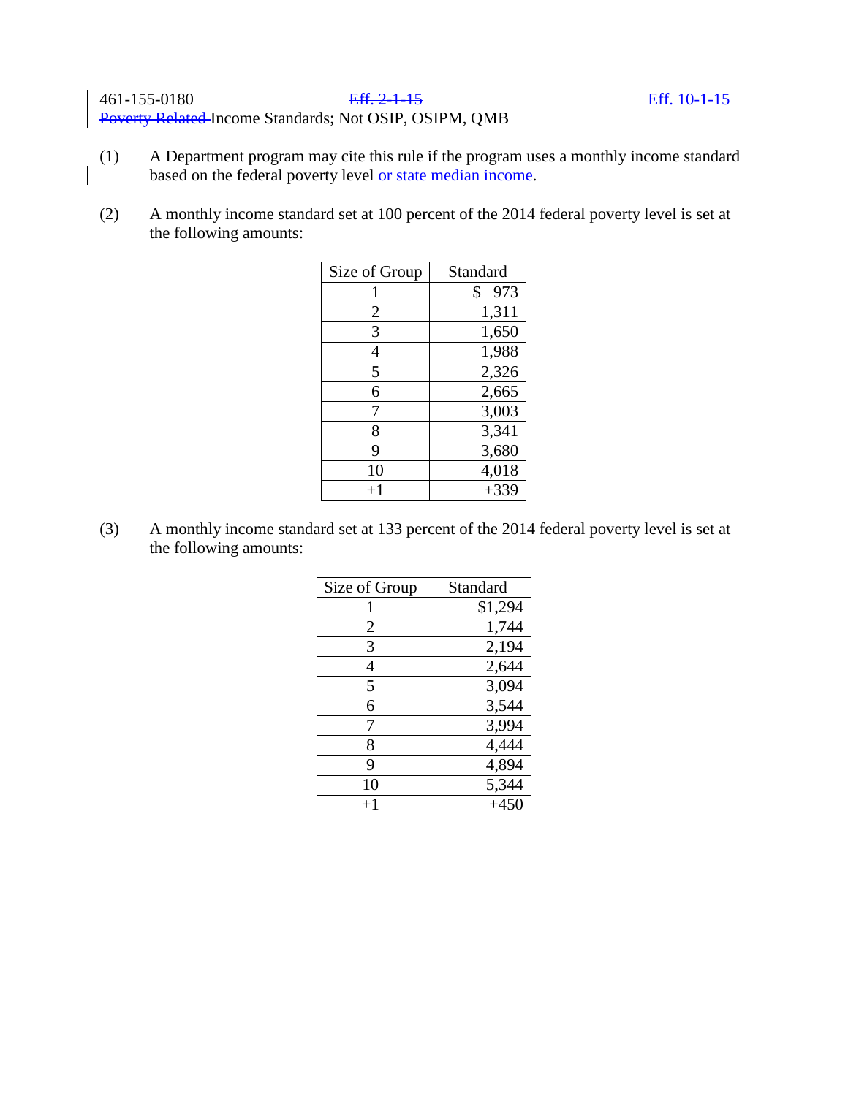(2) A monthly income standard set at 100 percent of the 2014 federal poverty level is set at the following amounts:

| Size of Group  | Standard  |
|----------------|-----------|
|                | \$<br>973 |
| $\overline{2}$ | 1,311     |
| 3              | 1,650     |
| 4              | 1,988     |
| 5              | 2,326     |
| 6              | 2,665     |
| 7              | 3,003     |
| 8              | 3,341     |
| 9              | 3,680     |
| 10             | 4,018     |
| $+1$           | $+339$    |

(3) A monthly income standard set at 133 percent of the 2014 federal poverty level is set at the following amounts:

| Size of Group    | Standard |
|------------------|----------|
|                  | \$1,294  |
| 2                | 1,744    |
| 3                | 2,194    |
| 4                | 2,644    |
| 5                | 3,094    |
| 6                | 3,544    |
| 7                | 3,994    |
| 8                | 4,444    |
| 9                | 4,894    |
| 10               | 5,344    |
| $^{\mathrm{+1}}$ | $+450$   |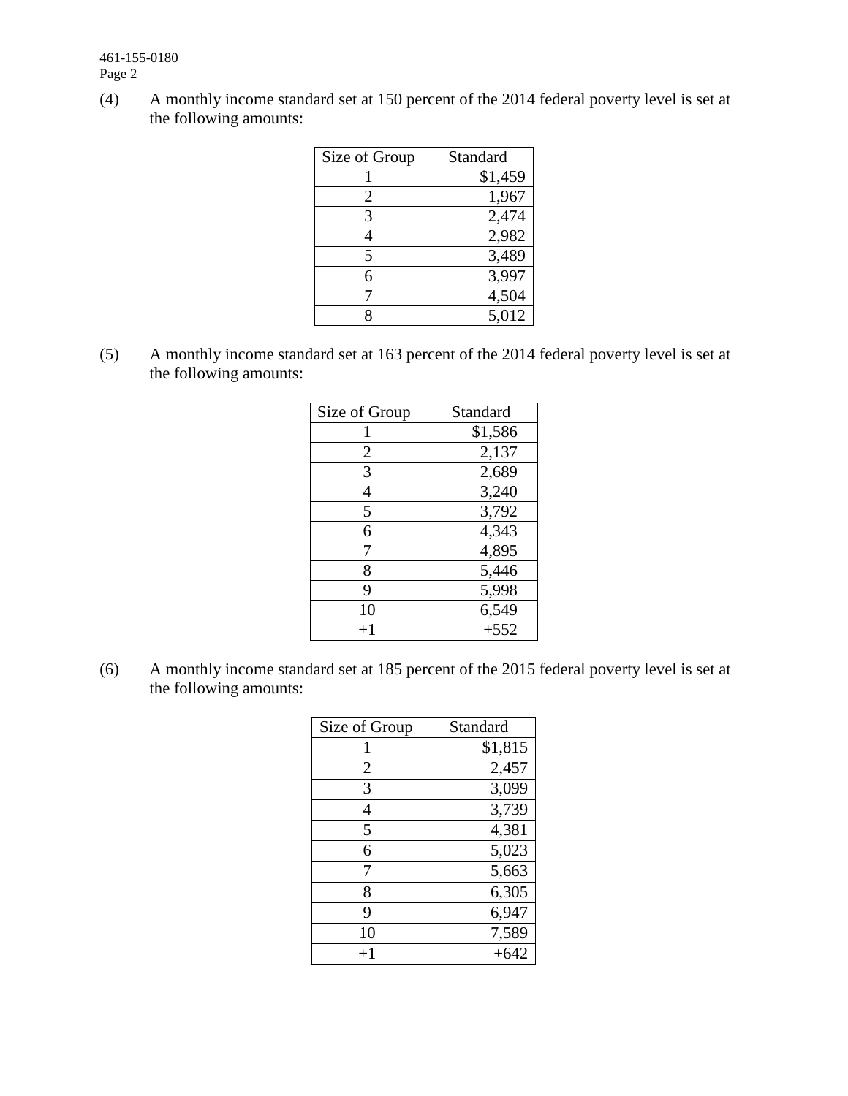461-155-0180 Page 2

(4) A monthly income standard set at 150 percent of the 2014 federal poverty level is set at the following amounts:

| Size of Group | Standard |
|---------------|----------|
|               | \$1,459  |
| 2             | 1,967    |
| 3             | 2,474    |
|               | 2,982    |
| 5             | 3,489    |
| 6             | 3,997    |
|               | 4,504    |
|               | 5,012    |

(5) A monthly income standard set at 163 percent of the 2014 federal poverty level is set at the following amounts:

| Size of Group  | Standard |
|----------------|----------|
|                | \$1,586  |
| $\overline{2}$ | 2,137    |
| 3              | 2,689    |
| 4              | 3,240    |
| 5              | 3,792    |
| 6              | 4,343    |
| 7              | 4,895    |
| 8              | 5,446    |
| 9              | 5,998    |
| 10             | 6,549    |
| $+1$           | $+552$   |

(6) A monthly income standard set at 185 percent of the 2015 federal poverty level is set at the following amounts:

| Size of Group | Standard |
|---------------|----------|
| 1             | \$1,815  |
| 2             | 2,457    |
| 3             | 3,099    |
| 4             | 3,739    |
| 5             | 4,381    |
| 6             | 5,023    |
| 7             | 5,663    |
| 8             | 6,305    |
| 9             | 6,947    |
| 10            | 7,589    |
| $+1$          | $+642$   |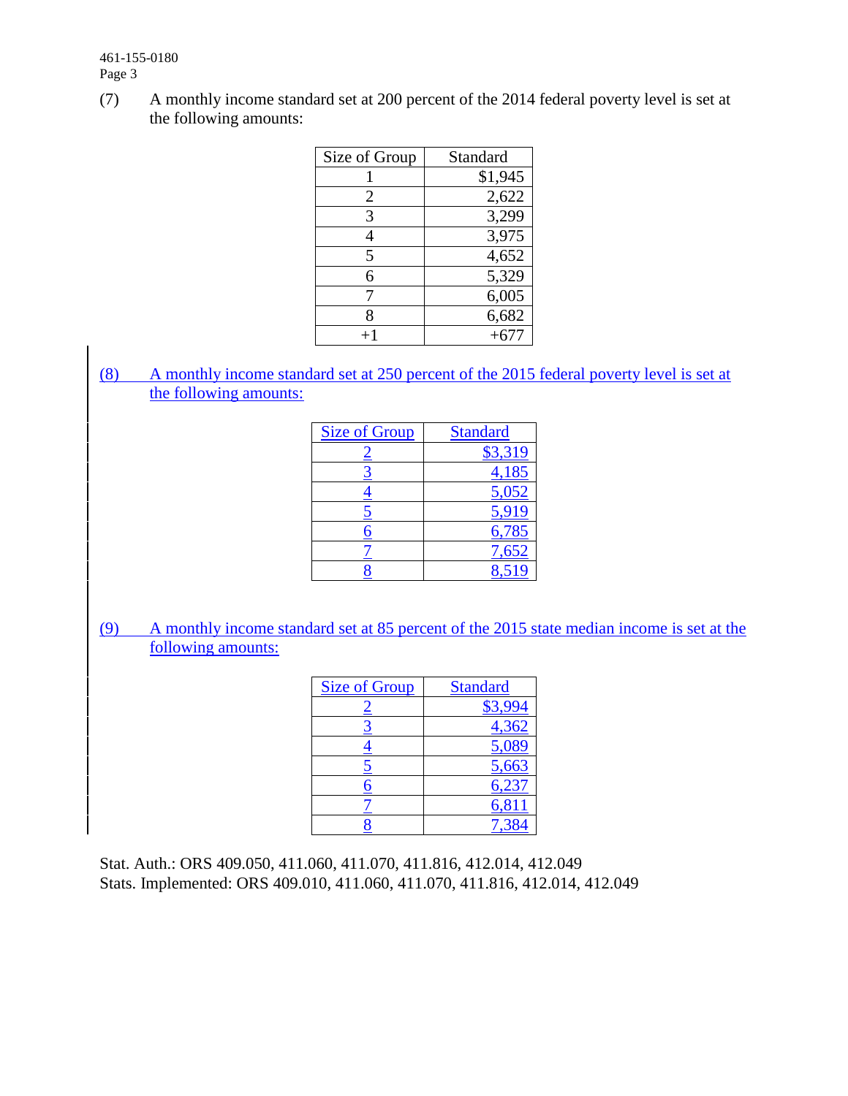461-155-0180 Page 3

(7) A monthly income standard set at 200 percent of the 2014 federal poverty level is set at the following amounts:

| Size of Group  | Standard |
|----------------|----------|
|                | \$1,945  |
| $\overline{2}$ | 2,622    |
| 3              | 3,299    |
|                | 3,975    |
| 5              | 4,652    |
| 6              | 5,329    |
| 7              | 6,005    |
| 8              | 6,682    |
|                | $+677$   |

(8) A monthly income standard set at 250 percent of the 2015 federal poverty level is set at the following amounts:

| <b>Size of Group</b> | <b>Standard</b> |
|----------------------|-----------------|
|                      | \$3,319         |
|                      | 4,185           |
|                      | 5,052           |
|                      | 5,919           |
| <u>6</u>             | 6,785           |
|                      | 7,652           |
|                      |                 |

(9) A monthly income standard set at 85 percent of the 2015 state median income is set at the following amounts:

| <b>Size of Group</b> | <b>Standard</b> |
|----------------------|-----------------|
|                      | \$3,994         |
|                      | 4,362           |
|                      | 5,089           |
|                      | 5,663           |
| 6                    | 6,237           |
|                      | 6,811           |
|                      |                 |

Stat. Auth.: ORS 409.050, 411.060, 411.070, 411.816, 412.014, 412.049 Stats. Implemented: ORS 409.010, 411.060, 411.070, 411.816, 412.014, 412.049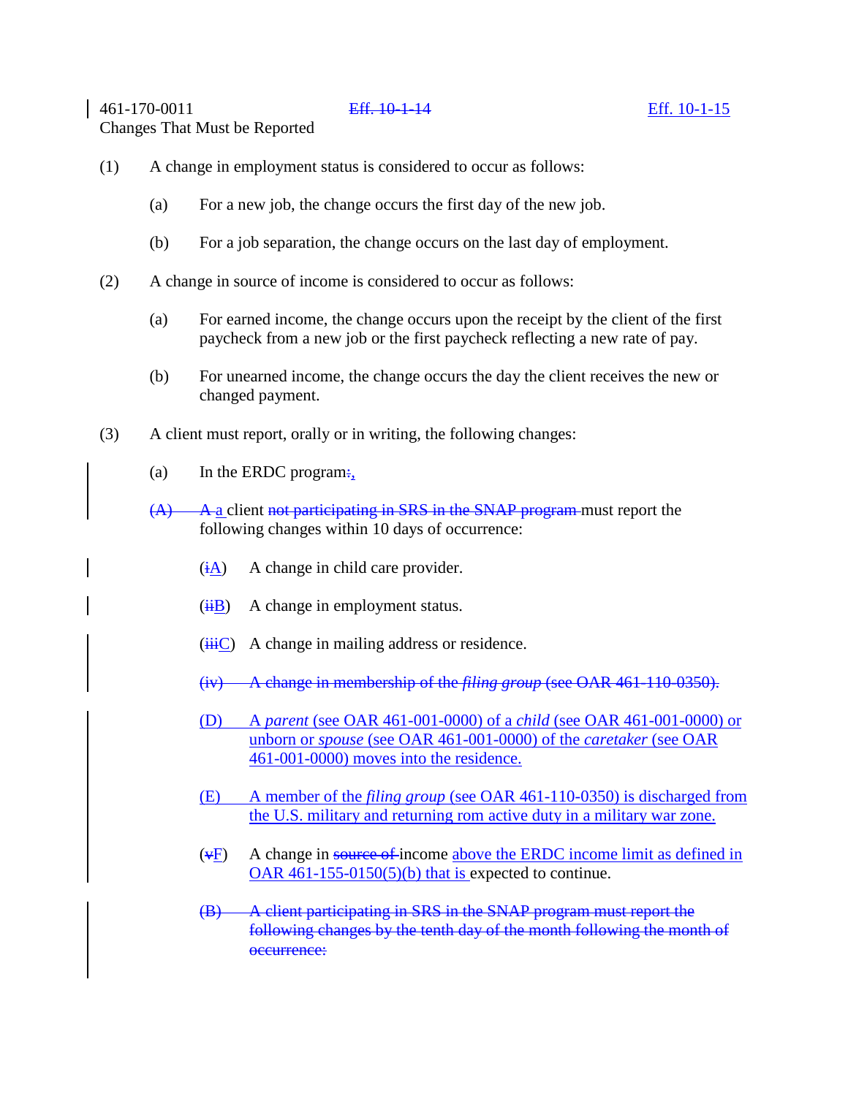461-170-0011 Eff. 10-1-14 Eff. 10-1-15

Changes That Must be Reported

- (1) A change in employment status is considered to occur as follows:
	- (a) For a new job, the change occurs the first day of the new job.
	- (b) For a job separation, the change occurs on the last day of employment.
- (2) A change in source of income is considered to occur as follows:
	- (a) For earned income, the change occurs upon the receipt by the client of the first paycheck from a new job or the first paycheck reflecting a new rate of pay.
	- (b) For unearned income, the change occurs the day the client receives the new or changed payment.
- (3) A client must report, orally or in writing, the following changes:
	- (a) In the ERDC program $\div$ ,
	- $(A)$  A a client not participating in SRS in the SNAP program must report the following changes within 10 days of occurrence:
		- $(i)$  A change in child care provider.
		- $(iH)$  A change in employment status.
		- $(iiiC)$  A change in mailing address or residence.
		- (iv) A change in membership of the *filing group* (see OAR 461-110-0350).
		- (D) A *parent* (see OAR 461-001-0000) of a *child* (see OAR 461-001-0000) or unborn or *spouse* (see OAR 461-001-0000) of the *caretaker* (see OAR 461-001-0000) moves into the residence.
		- (E) A member of the *filing group* (see OAR 461-110-0350) is discharged from the U.S. military and returning rom active duty in a military war zone.
		- $(\overline{\Psi}F)$  A change in source of income above the ERDC income limit as defined in OAR  $461-155-0150(5)(b)$  that is expected to continue.
		- (B) A client participating in SRS in the SNAP program must report the following changes by the tenth day of the month following the month of occurrence: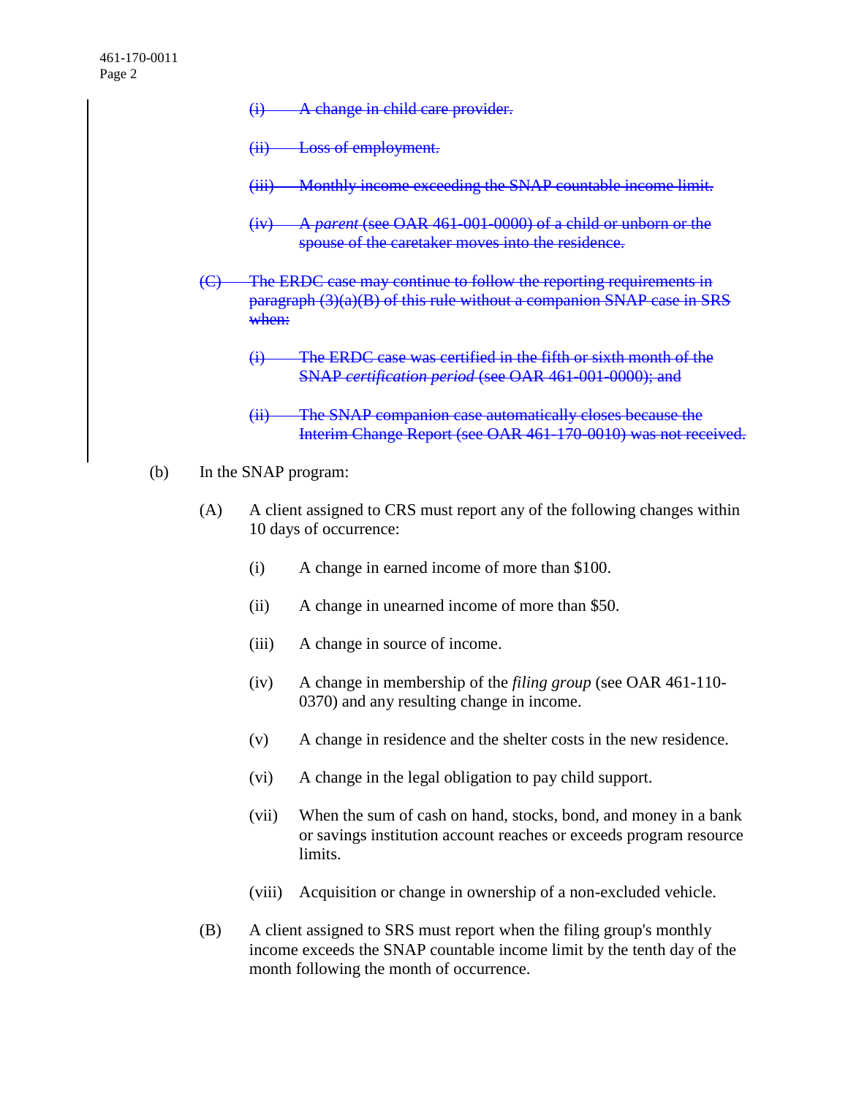- (i) A change in child care provider.
- (ii) Loss of employment.
- (iii) Monthly income exceeding the SNAP countable income limit.
- (iv) A *parent* (see OAR 461-001-0000) of a child or unborn or the spouse of the caretaker moves into the residence.
- (C) The ERDC case may continue to follow the reporting requirements in paragraph (3)(a)(B) of this rule without a companion SNAP case in SRS when:
	- (i) The ERDC case was certified in the fifth or sixth month of the SNAP *certification period* (see OAR 461-001-0000); and
	- (ii) The SNAP companion case automatically closes because the Interim Change Report (see OAR 461-170-0010) was not received.
- (b) In the SNAP program:
	- (A) A client assigned to CRS must report any of the following changes within 10 days of occurrence:
		- (i) A change in earned income of more than \$100.
		- (ii) A change in unearned income of more than \$50.
		- (iii) A change in source of income.
		- (iv) A change in membership of the *filing group* (see OAR 461-110- 0370) and any resulting change in income.
		- (v) A change in residence and the shelter costs in the new residence.
		- (vi) A change in the legal obligation to pay child support.
		- (vii) When the sum of cash on hand, stocks, bond, and money in a bank or savings institution account reaches or exceeds program resource limits.
		- (viii) Acquisition or change in ownership of a non-excluded vehicle.
	- (B) A client assigned to SRS must report when the filing group's monthly income exceeds the SNAP countable income limit by the tenth day of the month following the month of occurrence.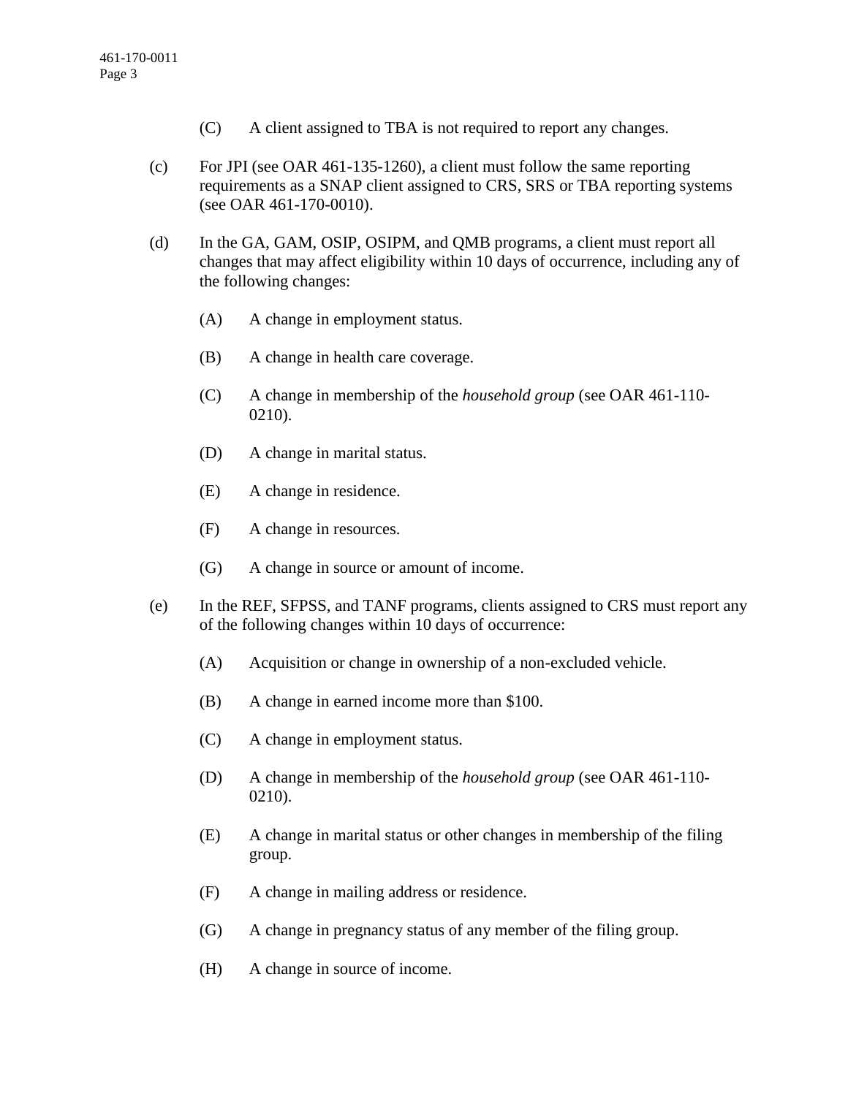- (C) A client assigned to TBA is not required to report any changes.
- (c) For JPI (see OAR 461-135-1260), a client must follow the same reporting requirements as a SNAP client assigned to CRS, SRS or TBA reporting systems (see OAR 461-170-0010).
- (d) In the GA, GAM, OSIP, OSIPM, and QMB programs, a client must report all changes that may affect eligibility within 10 days of occurrence, including any of the following changes:
	- (A) A change in employment status.
	- (B) A change in health care coverage.
	- (C) A change in membership of the *household group* (see OAR 461-110- 0210).
	- (D) A change in marital status.
	- (E) A change in residence.
	- (F) A change in resources.
	- (G) A change in source or amount of income.
- (e) In the REF, SFPSS, and TANF programs, clients assigned to CRS must report any of the following changes within 10 days of occurrence:
	- (A) Acquisition or change in ownership of a non-excluded vehicle.
	- (B) A change in earned income more than \$100.
	- (C) A change in employment status.
	- (D) A change in membership of the *household group* (see OAR 461-110- 0210).
	- (E) A change in marital status or other changes in membership of the filing group.
	- (F) A change in mailing address or residence.
	- (G) A change in pregnancy status of any member of the filing group.
	- (H) A change in source of income.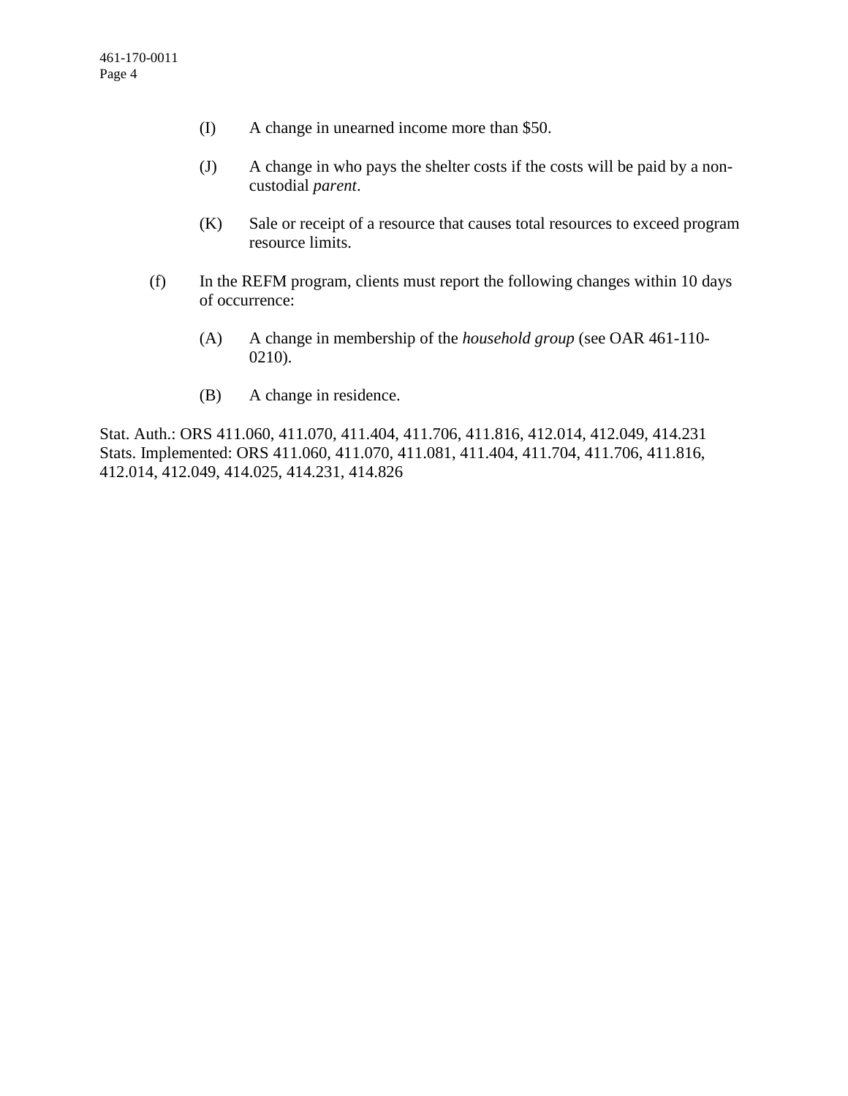- (I) A change in unearned income more than \$50.
- (J) A change in who pays the shelter costs if the costs will be paid by a noncustodial *parent*.
- (K) Sale or receipt of a resource that causes total resources to exceed program resource limits.
- (f) In the REFM program, clients must report the following changes within 10 days of occurrence:
	- (A) A change in membership of the *household group* (see OAR 461-110- 0210).
	- (B) A change in residence.

Stat. Auth.: ORS 411.060, 411.070, 411.404, 411.706, 411.816, 412.014, 412.049, 414.231 Stats. Implemented: ORS 411.060, 411.070, 411.081, 411.404, 411.704, 411.706, 411.816, 412.014, 412.049, 414.025, 414.231, 414.826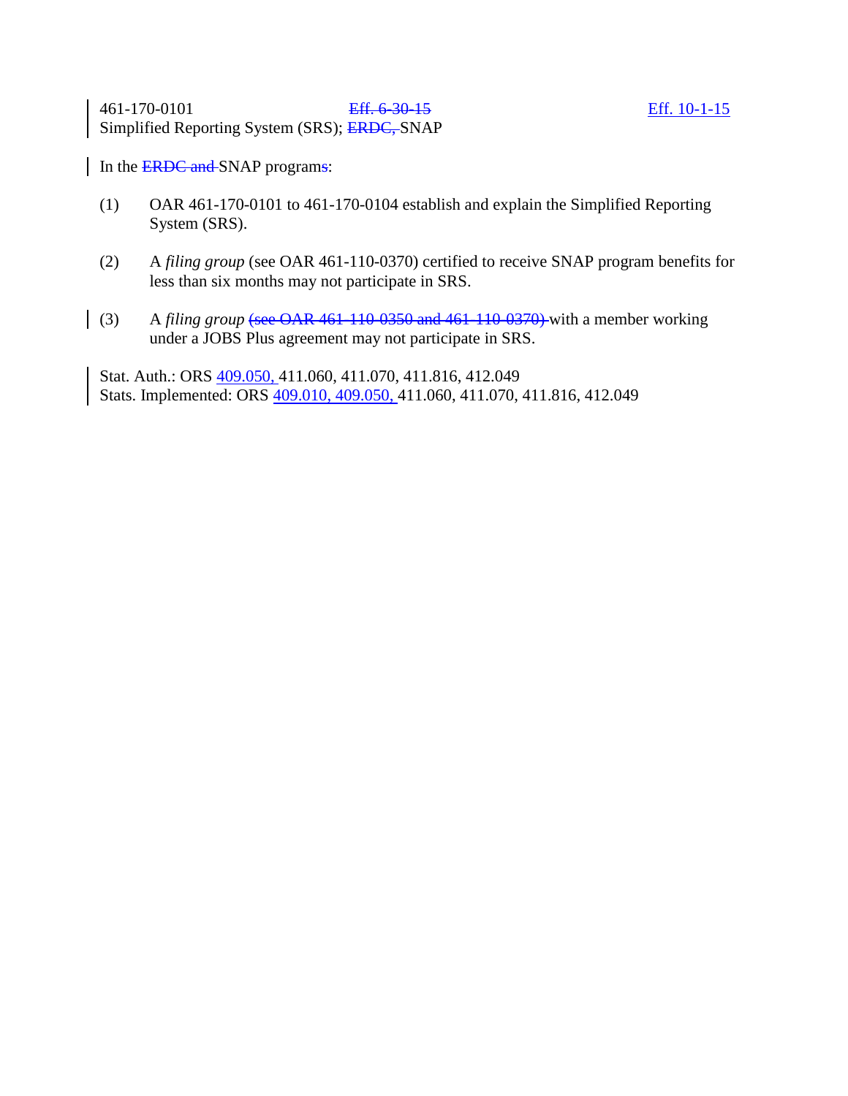461-170-0101 Eff. 6-30-15 Eff. 10-1-15 Simplified Reporting System (SRS); ERDC, SNAP

In the **ERDC** and SNAP programs:

- (1) OAR 461-170-0101 to 461-170-0104 establish and explain the Simplified Reporting System (SRS).
- (2) A *filing group* (see OAR 461-110-0370) certified to receive SNAP program benefits for less than six months may not participate in SRS.
- (3) A *filing group* (see OAR 461-110-0350 and 461-110-0370) with a member working under a JOBS Plus agreement may not participate in SRS.

Stat. Auth.: ORS 409.050, 411.060, 411.070, 411.816, 412.049 Stats. Implemented: ORS 409.010, 409.050, 411.060, 411.070, 411.816, 412.049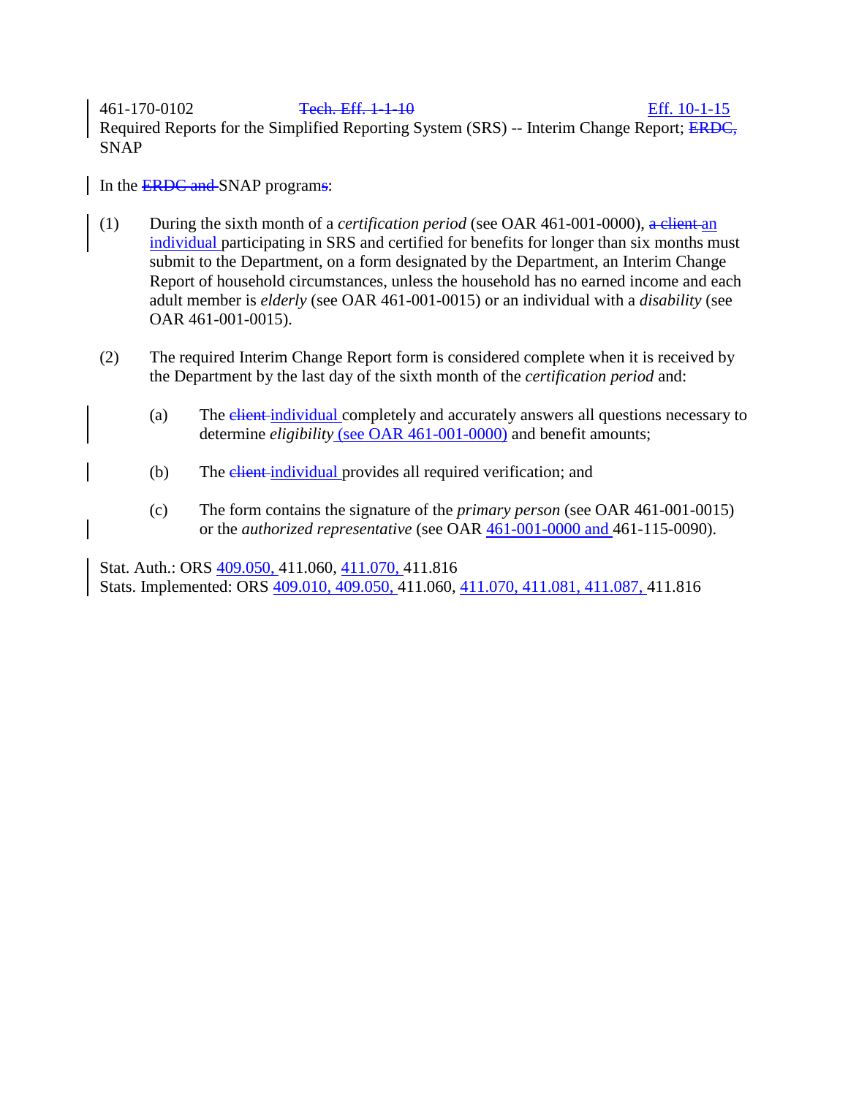461-170-0102 Tech. Eff. 1-1-10 Eff. 10-1-15 Required Reports for the Simplified Reporting System (SRS) -- Interim Change Report; ERDC, SNAP

In the **ERDC** and SNAP programs:

- (1) During the sixth month of a *certification period* (see OAR 461-001-0000), a client an individual participating in SRS and certified for benefits for longer than six months must submit to the Department, on a form designated by the Department, an Interim Change Report of household circumstances, unless the household has no earned income and each adult member is *elderly* (see OAR 461-001-0015) or an individual with a *disability* (see OAR 461-001-0015).
- (2) The required Interim Change Report form is considered complete when it is received by the Department by the last day of the sixth month of the *certification period* and:
	- (a) The elient-individual completely and accurately answers all questions necessary to determine *eligibility* (see OAR 461-001-0000) and benefit amounts;
	- (b) The *client-individual* provides all required verification; and
	- (c) The form contains the signature of the *primary person* (see OAR 461-001-0015) or the *authorized representative* (see OAR 461-001-0000 and 461-115-0090).

Stat. Auth.: ORS 409.050, 411.060, 411.070, 411.816 Stats. Implemented: ORS 409.010, 409.050, 411.060, 411.070, 411.081, 411.087, 411.816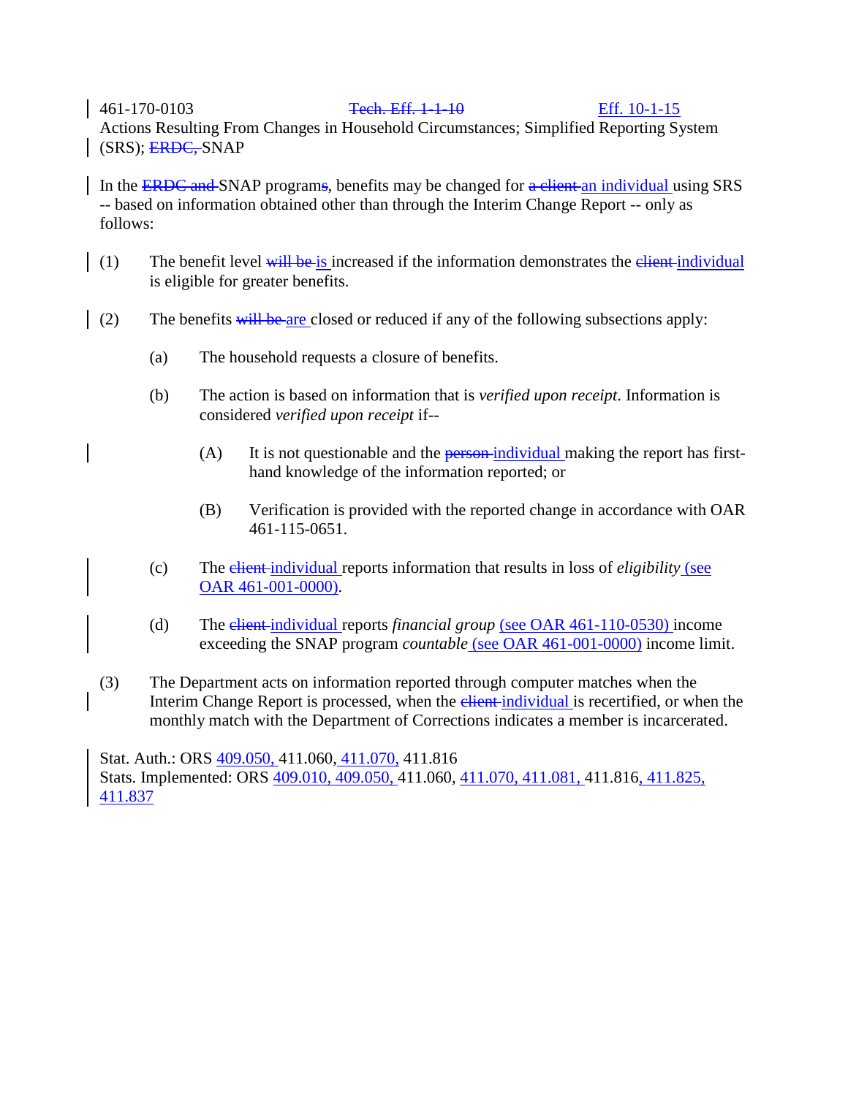## 461-170-0103 Tech. Eff. 1-1-10 Eff. 10-1-15

Actions Resulting From Changes in Household Circumstances; Simplified Reporting System (SRS); ERDC, SNAP

In the ERDC and SNAP programs, benefits may be changed for a client an individual using SRS -- based on information obtained other than through the Interim Change Report -- only as follows:

- (1) The benefit level  $\frac{1}{w}$  is increased if the information demonstrates the elient-individual is eligible for greater benefits.
- (2) The benefits will be are closed or reduced if any of the following subsections apply:
	- (a) The household requests a closure of benefits.
	- (b) The action is based on information that is *verified upon receipt*. Information is considered *verified upon receipt* if--
		- (A) It is not questionable and the **person-individual** making the report has firsthand knowledge of the information reported; or
		- (B) Verification is provided with the reported change in accordance with OAR 461-115-0651.
	- (c) The client individual reports information that results in loss of *eligibility* (see OAR 461-001-0000).
	- (d) The client individual reports *financial group* (see OAR 461-110-0530) income exceeding the SNAP program *countable* (see OAR 461-001-0000) income limit.
	- (3) The Department acts on information reported through computer matches when the Interim Change Report is processed, when the elient-individual is recertified, or when the monthly match with the Department of Corrections indicates a member is incarcerated.

Stat. Auth.: ORS 409.050, 411.060, 411.070, 411.816 Stats. Implemented: ORS 409.010, 409.050, 411.060, 411.070, 411.081, 411.816, 411.825, 411.837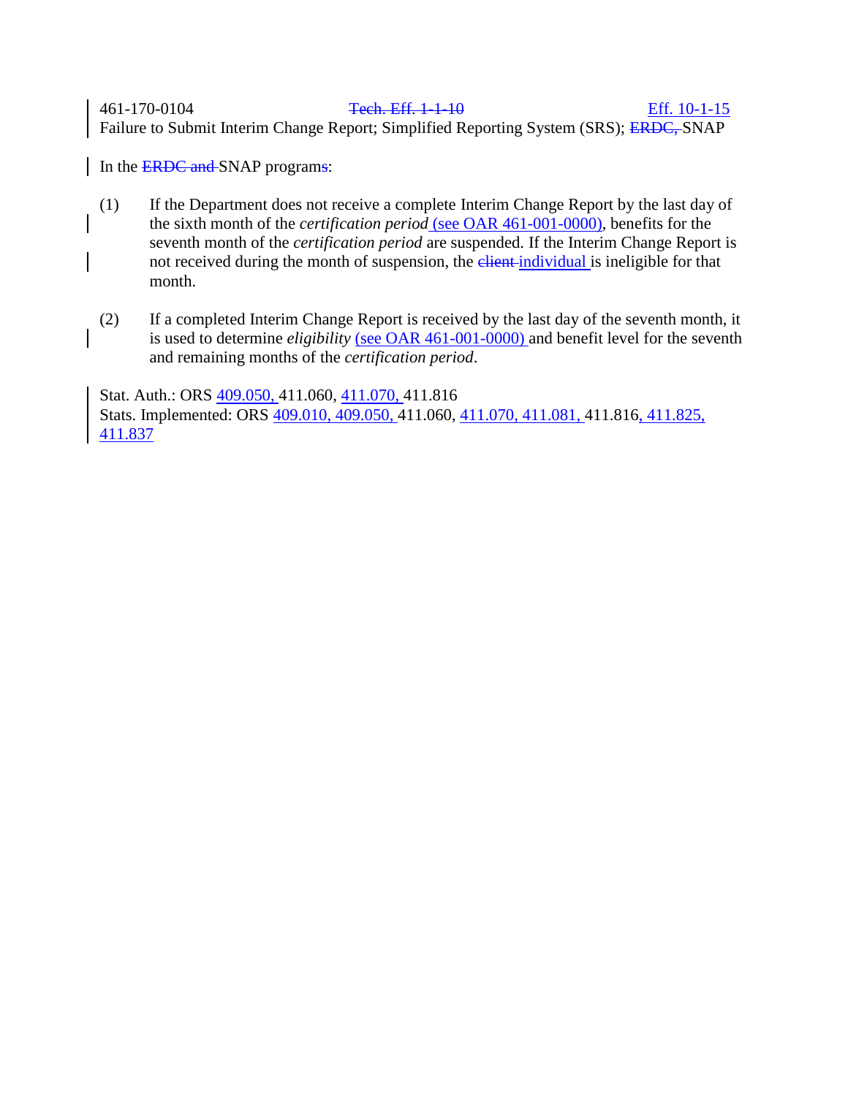461-170-0104 Tech. Eff. 1-1-10 Eff. 10-1-15 Failure to Submit Interim Change Report; Simplified Reporting System (SRS); ERDC, SNAP

In the **ERDC** and SNAP programs:

- (1) If the Department does not receive a complete Interim Change Report by the last day of the sixth month of the *certification period* (see OAR 461-001-0000), benefits for the seventh month of the *certification period* are suspended. If the Interim Change Report is not received during the month of suspension, the elient-individual is ineligible for that month.
- (2) If a completed Interim Change Report is received by the last day of the seventh month, it is used to determine *eligibility* (see OAR 461-001-0000) and benefit level for the seventh and remaining months of the *certification period*.

Stat. Auth.: ORS 409.050, 411.060, 411.070, 411.816 Stats. Implemented: ORS 409.010, 409.050, 411.060, 411.070, 411.081, 411.816, 411.825, 411.837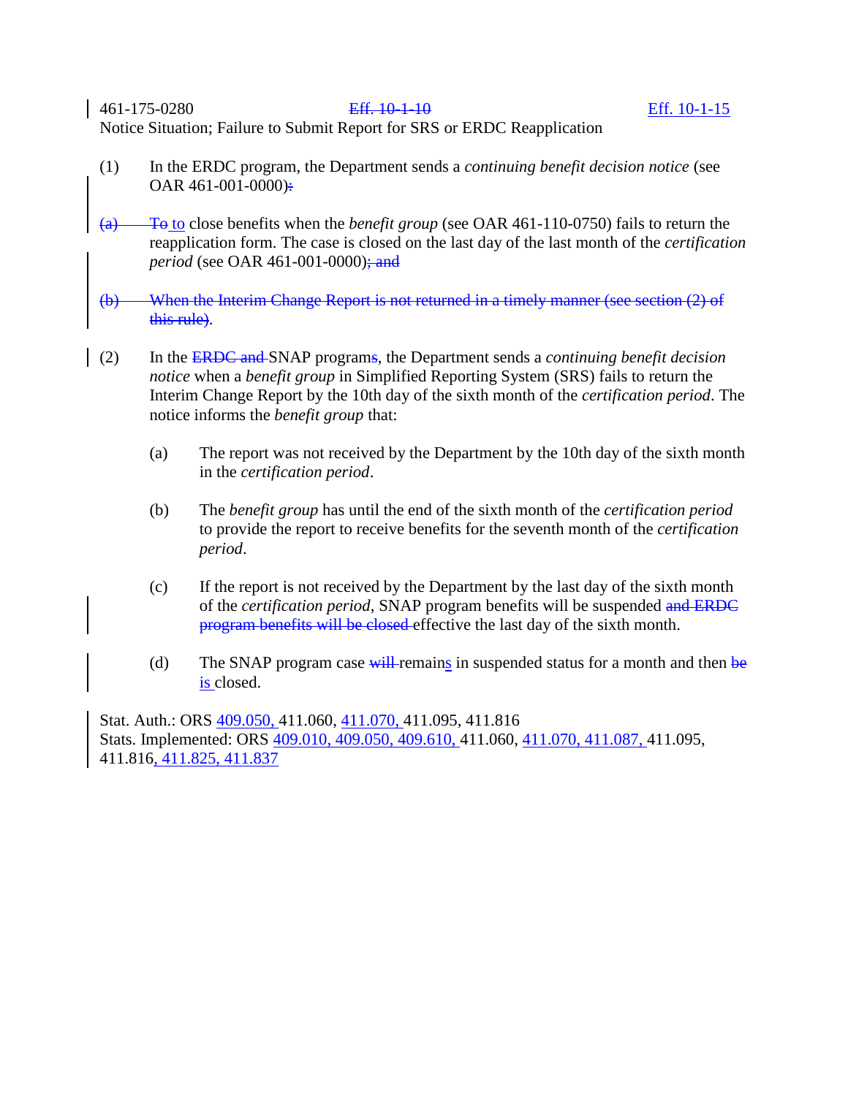461-175-0280 Eff. 10-1-10 Eff. 10-1-15 Notice Situation; Failure to Submit Report for SRS or ERDC Reapplication

- (1) In the ERDC program, the Department sends a *continuing benefit decision notice* (see OAR  $461-001-0000$ ):
- (a) To to close benefits when the *benefit group* (see OAR 461-110-0750) fails to return the reapplication form. The case is closed on the last day of the last month of the *certification period* (see OAR 461-001-0000); and
- (b) When the Interim Change Report is not returned in a timely manner (see section (2) of this rule).
- (2) In the ERDC and SNAP programs, the Department sends a *continuing benefit decision notice* when a *benefit group* in Simplified Reporting System (SRS) fails to return the Interim Change Report by the 10th day of the sixth month of the *certification period*. The notice informs the *benefit group* that:
	- (a) The report was not received by the Department by the 10th day of the sixth month in the *certification period*.
	- (b) The *benefit group* has until the end of the sixth month of the *certification period* to provide the report to receive benefits for the seventh month of the *certification period*.
	- (c) If the report is not received by the Department by the last day of the sixth month of the *certification period*, SNAP program benefits will be suspended and ERDC program benefits will be closed effective the last day of the sixth month.
	- (d) The SNAP program case  $\frac{1}{w}$  remains in suspended status for a month and then be is closed.

Stat. Auth.: ORS 409.050, 411.060, 411.070, 411.095, 411.816 Stats. Implemented: ORS 409.010, 409.050, 409.610, 411.060, 411.070, 411.087, 411.095, 411.816, 411.825, 411.837